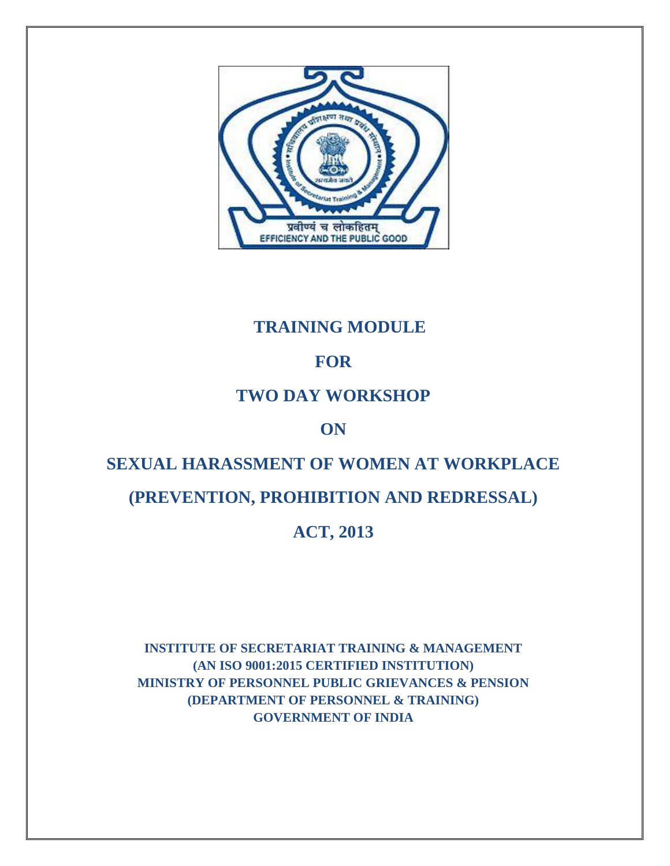

# **TRAINING MODULE**

# **FOR**

# **TWO DAY WORKSHOP**

# **ON**

# **SEXUAL HARASSMENT OF WOMEN AT WORKPLACE**

# **(PREVENTION, PROHIBITION AND REDRESSAL)**

# **ACT, 2013**

**INSTITUTE OF SECRETARIAT TRAINING & MANAGEMENT (AN ISO 9001:2015 CERTIFIED INSTITUTION) MINISTRY OF PERSONNEL PUBLIC GRIEVANCES & PENSION (DEPARTMENT OF PERSONNEL & TRAINING) GOVERNMENT OF INDIA**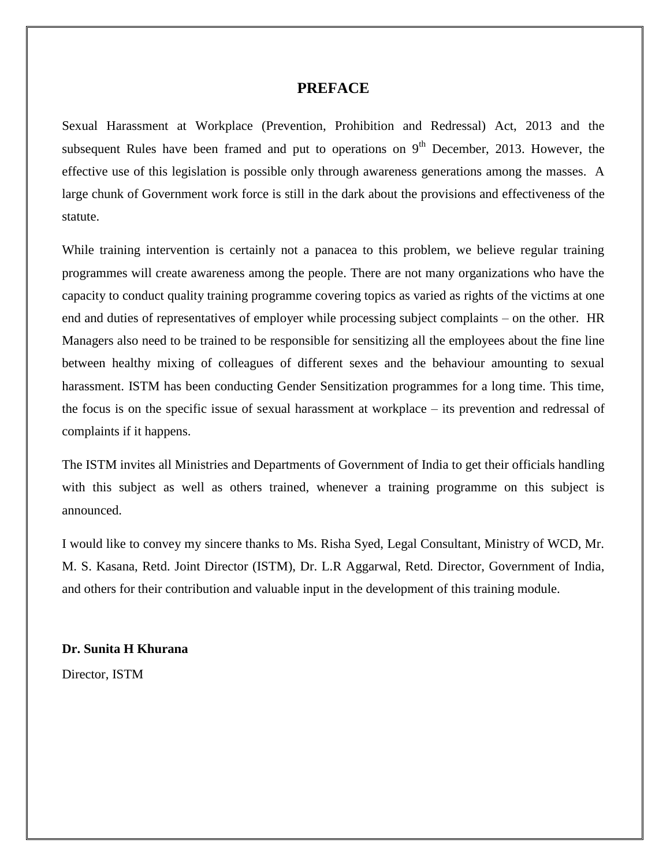#### **PREFACE**

Sexual Harassment at Workplace (Prevention, Prohibition and Redressal) Act, 2013 and the subsequent Rules have been framed and put to operations on  $9<sup>th</sup>$  December, 2013. However, the effective use of this legislation is possible only through awareness generations among the masses. A large chunk of Government work force is still in the dark about the provisions and effectiveness of the statute.

While training intervention is certainly not a panacea to this problem, we believe regular training programmes will create awareness among the people. There are not many organizations who have the capacity to conduct quality training programme covering topics as varied as rights of the victims at one end and duties of representatives of employer while processing subject complaints – on the other. HR Managers also need to be trained to be responsible for sensitizing all the employees about the fine line between healthy mixing of colleagues of different sexes and the behaviour amounting to sexual harassment. ISTM has been conducting Gender Sensitization programmes for a long time. This time, the focus is on the specific issue of sexual harassment at workplace – its prevention and redressal of complaints if it happens.

The ISTM invites all Ministries and Departments of Government of India to get their officials handling with this subject as well as others trained, whenever a training programme on this subject is announced.

I would like to convey my sincere thanks to Ms. Risha Syed, Legal Consultant, Ministry of WCD, Mr. M. S. Kasana, Retd. Joint Director (ISTM), Dr. L.R Aggarwal, Retd. Director, Government of India, and others for their contribution and valuable input in the development of this training module.

#### **Dr. Sunita H Khurana**

Director, ISTM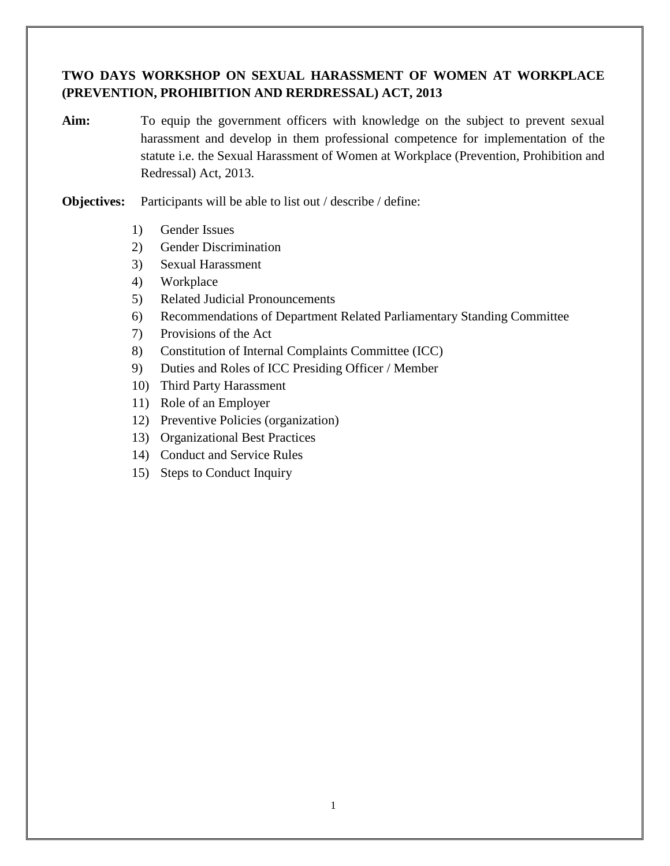## **TWO DAYS WORKSHOP ON SEXUAL HARASSMENT OF WOMEN AT WORKPLACE (PREVENTION, PROHIBITION AND RERDRESSAL) ACT, 2013**

- Aim: To equip the government officers with knowledge on the subject to prevent sexual harassment and develop in them professional competence for implementation of the statute i.e. the Sexual Harassment of Women at Workplace (Prevention, Prohibition and Redressal) Act, 2013.
- **Objectives:** Participants will be able to list out / describe / define:
	- 1) Gender Issues
	- 2) Gender Discrimination
	- 3) Sexual Harassment
	- 4) Workplace
	- 5) Related Judicial Pronouncements
	- 6) Recommendations of Department Related Parliamentary Standing Committee
	- 7) Provisions of the Act
	- 8) Constitution of Internal Complaints Committee (ICC)
	- 9) Duties and Roles of ICC Presiding Officer / Member
	- 10) Third Party Harassment
	- 11) Role of an Employer
	- 12) Preventive Policies (organization)
	- 13) Organizational Best Practices
	- 14) Conduct and Service Rules
	- 15) Steps to Conduct Inquiry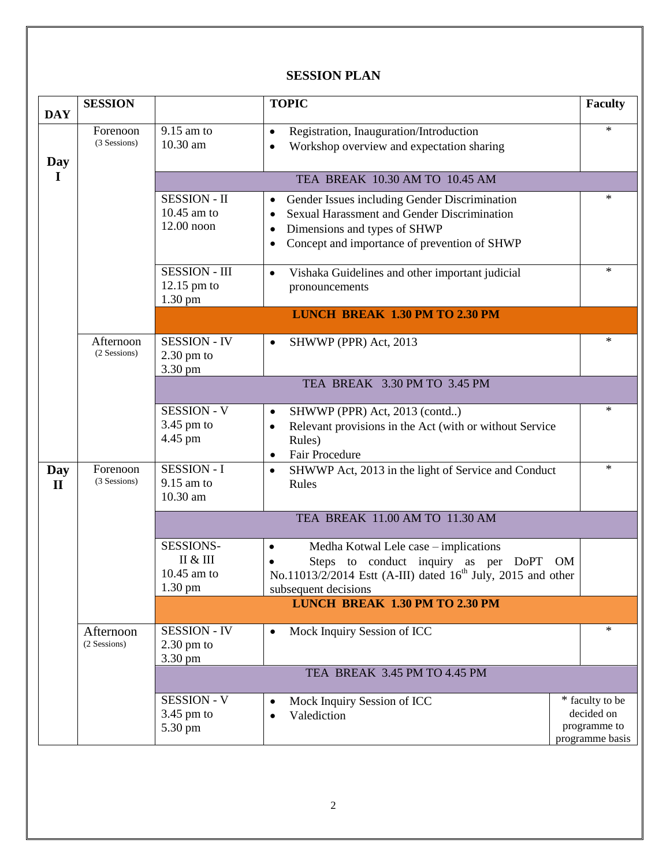## **SESSION PLAN**

| <b>DAY</b>          | <b>SESSION</b>                                                                                                                                        |                                                                        | <b>TOPIC</b>                                                                                                                                                                                   | <b>Faculty</b>                                                   |  |
|---------------------|-------------------------------------------------------------------------------------------------------------------------------------------------------|------------------------------------------------------------------------|------------------------------------------------------------------------------------------------------------------------------------------------------------------------------------------------|------------------------------------------------------------------|--|
| Day                 | Forenoon<br>(3 Sessions)                                                                                                                              | $9.15$ am to<br>10.30 am                                               | Registration, Inauguration/Introduction<br>$\bullet$<br>Workshop overview and expectation sharing                                                                                              | $\ast$                                                           |  |
| $\bf{I}$            |                                                                                                                                                       |                                                                        | TEA BREAK 10.30 AM TO 10.45 AM                                                                                                                                                                 |                                                                  |  |
|                     |                                                                                                                                                       | <b>SESSION - II</b><br>10.45 am to<br>$12.00$ noon                     | Gender Issues including Gender Discrimination<br>٠<br>Sexual Harassment and Gender Discrimination<br>$\bullet$<br>Dimensions and types of SHWP<br>Concept and importance of prevention of SHWP | *                                                                |  |
|                     |                                                                                                                                                       | <b>SESSION - III</b><br>$12.15$ pm to<br>1.30 pm                       | Vishaka Guidelines and other important judicial<br>$\bullet$<br>pronouncements                                                                                                                 | $\ast$                                                           |  |
|                     |                                                                                                                                                       |                                                                        | <b>LUNCH BREAK 1.30 PM TO 2.30 PM</b>                                                                                                                                                          |                                                                  |  |
|                     | Afternoon<br>(2 Sessions)                                                                                                                             | <b>SESSION - IV</b><br>$2.30$ pm to<br>3.30 pm                         | SHWWP (PPR) Act, 2013<br>$\bullet$                                                                                                                                                             | $\ast$                                                           |  |
|                     |                                                                                                                                                       | TEA BREAK 3.30 PM TO 3.45 PM                                           |                                                                                                                                                                                                |                                                                  |  |
|                     |                                                                                                                                                       | <b>SESSION - V</b><br>3.45 pm to<br>4.45 pm                            | SHWWP (PPR) Act, 2013 (contd)<br>$\bullet$<br>Relevant provisions in the Act (with or without Service<br>Rules)<br>Fair Procedure                                                              | $\ast$                                                           |  |
| Day<br>$\mathbf{I}$ | <b>SESSION - I</b><br>Forenoon<br>SHWWP Act, 2013 in the light of Service and Conduct<br>$\bullet$<br>(3 Sessions)<br>9.15 am to<br>Rules<br>10.30 am |                                                                        | $\ast$                                                                                                                                                                                         |                                                                  |  |
|                     |                                                                                                                                                       |                                                                        | TEA BREAK 11.00 AM TO 11.30 AM                                                                                                                                                                 |                                                                  |  |
|                     |                                                                                                                                                       | <b>SESSIONS-</b><br><b>II</b> & <b>III</b><br>10.45 am to<br>$1.30$ pm | Medha Kotwal Lele case - implications<br>٠<br>Steps to conduct inquiry as per DoPT<br>No.11013/2/2014 Estt (A-III) dated 16 <sup>th</sup> July, 2015 and other<br>subsequent decisions         | OM <sub>.</sub>                                                  |  |
|                     |                                                                                                                                                       | LUNCH BREAK 1.30 PM TO 2.30 PM                                         |                                                                                                                                                                                                |                                                                  |  |
|                     | Afternoon<br>(2 Sessions)                                                                                                                             | <b>SESSION - IV</b><br>$2.30$ pm to<br>3.30 pm                         | Mock Inquiry Session of ICC<br>$\bullet$                                                                                                                                                       | $\ast$                                                           |  |
|                     |                                                                                                                                                       |                                                                        | TEA BREAK 3.45 PM TO 4.45 PM                                                                                                                                                                   |                                                                  |  |
|                     |                                                                                                                                                       | <b>SESSION - V</b><br>3.45 pm to<br>5.30 pm                            | Mock Inquiry Session of ICC<br>Valediction                                                                                                                                                     | * faculty to be<br>decided on<br>programme to<br>programme basis |  |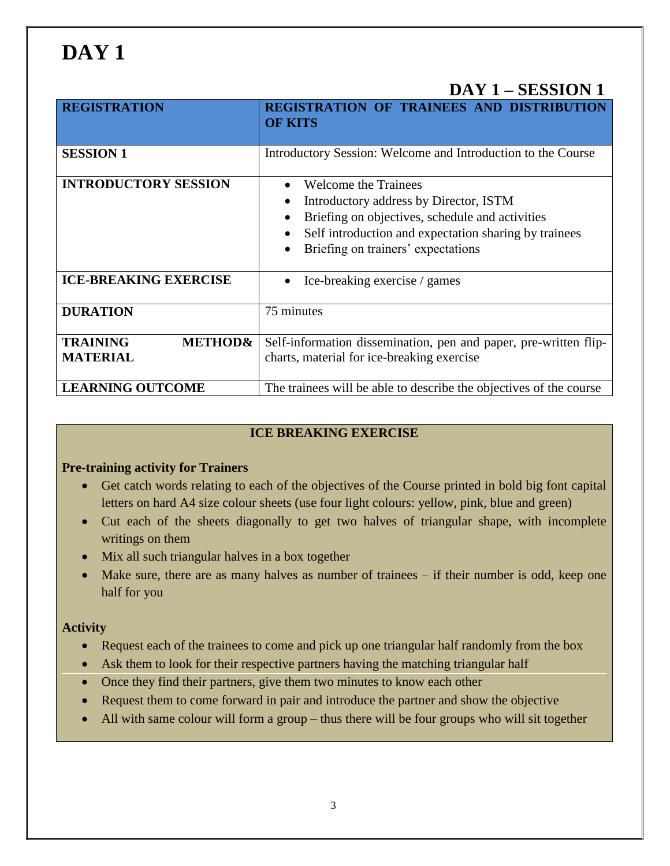# **DAY 1**

# **DAY 1 – SESSION 1**

| <b>REGISTRATION</b>                                      | <b>REGISTRATION OF TRAINEES AND DISTRIBUTION</b><br><b>OF KITS</b>                                                                                                                                               |  |  |
|----------------------------------------------------------|------------------------------------------------------------------------------------------------------------------------------------------------------------------------------------------------------------------|--|--|
| <b>SESSION 1</b>                                         | Introductory Session: Welcome and Introduction to the Course                                                                                                                                                     |  |  |
| <b>INTRODUCTORY SESSION</b>                              | Welcome the Trainees<br>Introductory address by Director, ISTM<br>Briefing on objectives, schedule and activities<br>Self introduction and expectation sharing by trainees<br>Briefing on trainers' expectations |  |  |
| <b>ICE-BREAKING EXERCISE</b>                             | Ice-breaking exercise / games                                                                                                                                                                                    |  |  |
| <b>DURATION</b>                                          | 75 minutes                                                                                                                                                                                                       |  |  |
| <b>TRAINING</b><br><b>METHOD&amp;</b><br><b>MATERIAL</b> | Self-information dissemination, pen and paper, pre-written flip-<br>charts, material for ice-breaking exercise                                                                                                   |  |  |
| <b>LEARNING OUTCOME</b>                                  | The trainees will be able to describe the objectives of the course                                                                                                                                               |  |  |

## **ICE BREAKING EXERCISE**

### **Pre-training activity for Trainers**

- Get catch words relating to each of the objectives of the Course printed in bold big font capital letters on hard A4 size colour sheets (use four light colours: yellow, pink, blue and green)
- Cut each of the sheets diagonally to get two halves of triangular shape, with incomplete writings on them
- Mix all such triangular halves in a box together
- Make sure, there are as many halves as number of trainees if their number is odd, keep one half for you

### **Activity**

- Request each of the trainees to come and pick up one triangular half randomly from the box
- Ask them to look for their respective partners having the matching triangular half
- Once they find their partners, give them two minutes to know each other
- Request them to come forward in pair and introduce the partner and show the objective
- All with same colour will form a group thus there will be four groups who will sit together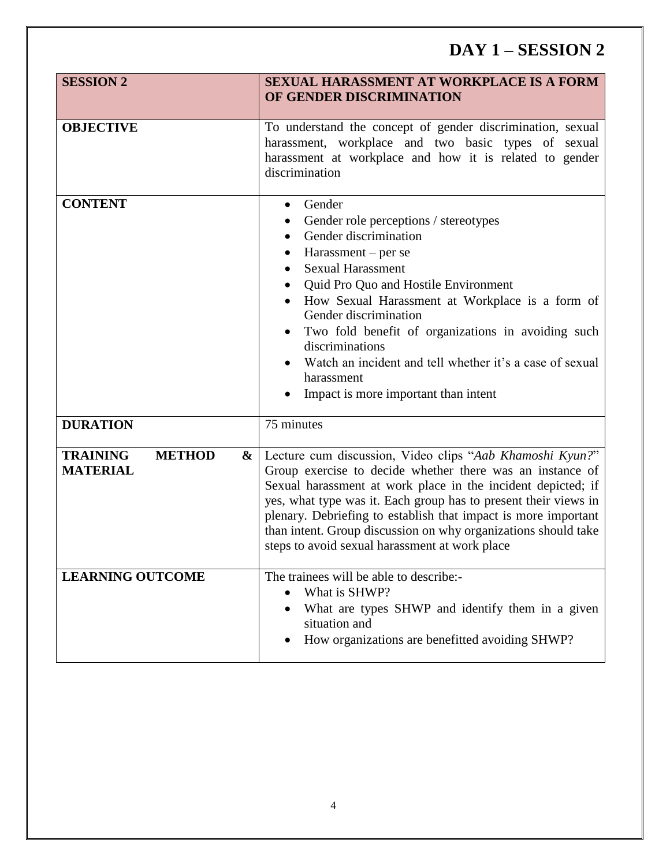# **DAY 1 – SESSION 2**

| <b>SESSION 2</b>                                         | <b>SEXUAL HARASSMENT AT WORKPLACE IS A FORM</b><br>OF GENDER DISCRIMINATION                                                                                                                                                                                                                                                                                                                                                                                                       |
|----------------------------------------------------------|-----------------------------------------------------------------------------------------------------------------------------------------------------------------------------------------------------------------------------------------------------------------------------------------------------------------------------------------------------------------------------------------------------------------------------------------------------------------------------------|
| <b>OBJECTIVE</b>                                         | To understand the concept of gender discrimination, sexual<br>harassment, workplace and two basic types of sexual<br>harassment at workplace and how it is related to gender<br>discrimination                                                                                                                                                                                                                                                                                    |
| <b>CONTENT</b>                                           | Gender<br>$\bullet$<br>Gender role perceptions / stereotypes<br>Gender discrimination<br>Harassment – per se<br><b>Sexual Harassment</b><br>$\bullet$<br>Quid Pro Quo and Hostile Environment<br>How Sexual Harassment at Workplace is a form of<br>Gender discrimination<br>Two fold benefit of organizations in avoiding such<br>$\bullet$<br>discriminations<br>Watch an incident and tell whether it's a case of sexual<br>harassment<br>Impact is more important than intent |
| <b>DURATION</b>                                          | 75 minutes                                                                                                                                                                                                                                                                                                                                                                                                                                                                        |
| <b>TRAINING</b><br><b>METHOD</b><br>&<br><b>MATERIAL</b> | Lecture cum discussion, Video clips "Aab Khamoshi Kyun?"<br>Group exercise to decide whether there was an instance of<br>Sexual harassment at work place in the incident depicted; if<br>yes, what type was it. Each group has to present their views in<br>plenary. Debriefing to establish that impact is more important<br>than intent. Group discussion on why organizations should take<br>steps to avoid sexual harassment at work place                                    |
| <b>LEARNING OUTCOME</b>                                  | The trainees will be able to describe:-<br>What is SHWP?<br>What are types SHWP and identify them in a given<br>situation and<br>How organizations are benefitted avoiding SHWP?                                                                                                                                                                                                                                                                                                  |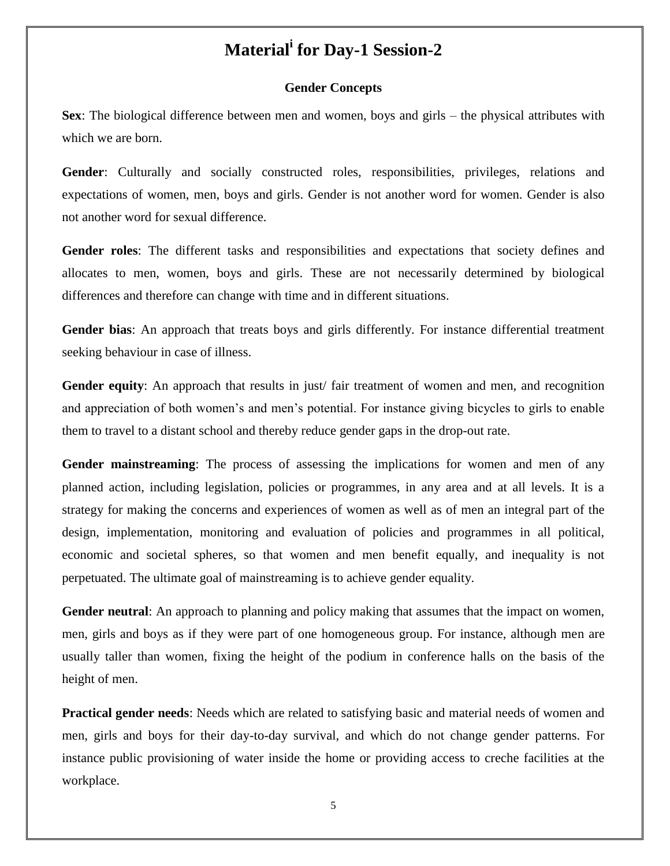# **Material<sup>i</sup> for Day-1 Session-2**

#### **Gender Concepts**

**Sex**: The biological difference between men and women, boys and girls – the physical attributes with which we are born.

**Gender**: Culturally and socially constructed roles, responsibilities, privileges, relations and expectations of women, men, boys and girls. Gender is not another word for women. Gender is also not another word for sexual difference.

**Gender roles**: The different tasks and responsibilities and expectations that society defines and allocates to men, women, boys and girls. These are not necessarily determined by biological differences and therefore can change with time and in different situations.

**Gender bias**: An approach that treats boys and girls differently. For instance differential treatment seeking behaviour in case of illness.

Gender equity: An approach that results in just fair treatment of women and men, and recognition and appreciation of both women's and men's potential. For instance giving bicycles to girls to enable them to travel to a distant school and thereby reduce gender gaps in the drop-out rate.

**Gender mainstreaming**: The process of assessing the implications for women and men of any planned action, including legislation, policies or programmes, in any area and at all levels. It is a strategy for making the concerns and experiences of women as well as of men an integral part of the design, implementation, monitoring and evaluation of policies and programmes in all political, economic and societal spheres, so that women and men benefit equally, and inequality is not perpetuated. The ultimate goal of mainstreaming is to achieve gender equality.

**Gender neutral**: An approach to planning and policy making that assumes that the impact on women, men, girls and boys as if they were part of one homogeneous group. For instance, although men are usually taller than women, fixing the height of the podium in conference halls on the basis of the height of men.

**Practical gender needs**: Needs which are related to satisfying basic and material needs of women and men, girls and boys for their day-to-day survival, and which do not change gender patterns. For instance public provisioning of water inside the home or providing access to creche facilities at the workplace.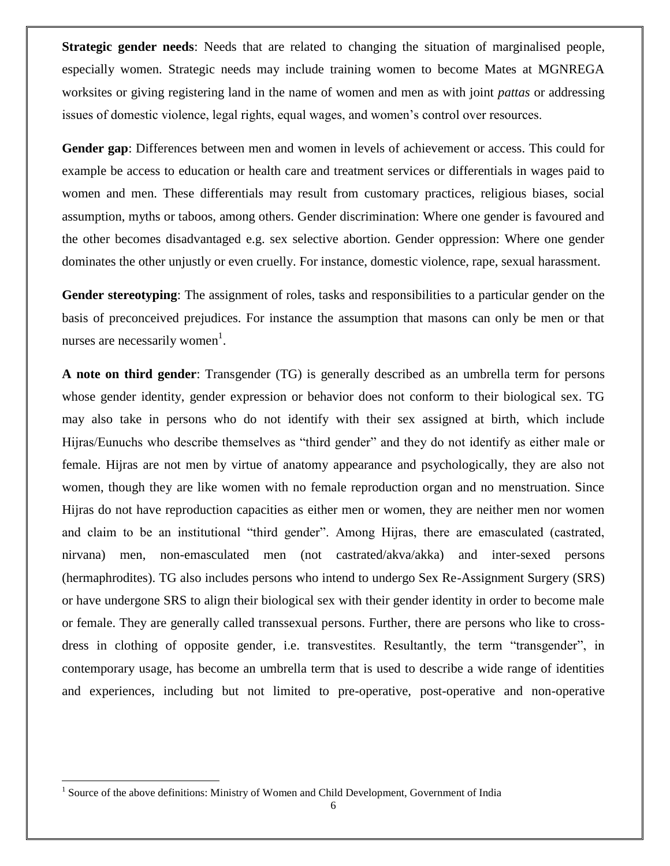**Strategic gender needs**: Needs that are related to changing the situation of marginalised people, especially women. Strategic needs may include training women to become Mates at MGNREGA worksites or giving registering land in the name of women and men as with joint *pattas* or addressing issues of domestic violence, legal rights, equal wages, and women's control over resources.

**Gender gap**: Differences between men and women in levels of achievement or access. This could for example be access to education or health care and treatment services or differentials in wages paid to women and men. These differentials may result from customary practices, religious biases, social assumption, myths or taboos, among others. Gender discrimination: Where one gender is favoured and the other becomes disadvantaged e.g. sex selective abortion. Gender oppression: Where one gender dominates the other unjustly or even cruelly. For instance, domestic violence, rape, sexual harassment.

**Gender stereotyping**: The assignment of roles, tasks and responsibilities to a particular gender on the basis of preconceived prejudices. For instance the assumption that masons can only be men or that nurses are necessarily women<sup>1</sup>.

**A note on third gender**: Transgender (TG) is generally described as an umbrella term for persons whose gender identity, gender expression or behavior does not conform to their biological sex. TG may also take in persons who do not identify with their sex assigned at birth, which include Hijras/Eunuchs who describe themselves as "third gender" and they do not identify as either male or female. Hijras are not men by virtue of anatomy appearance and psychologically, they are also not women, though they are like women with no female reproduction organ and no menstruation. Since Hijras do not have reproduction capacities as either men or women, they are neither men nor women and claim to be an institutional "third gender". Among Hijras, there are emasculated (castrated, nirvana) men, non-emasculated men (not castrated/akva/akka) and inter-sexed persons (hermaphrodites). TG also includes persons who intend to undergo Sex Re-Assignment Surgery (SRS) or have undergone SRS to align their biological sex with their gender identity in order to become male or female. They are generally called transsexual persons. Further, there are persons who like to crossdress in clothing of opposite gender, i.e. transvestites. Resultantly, the term "transgender", in contemporary usage, has become an umbrella term that is used to describe a wide range of identities and experiences, including but not limited to pre-operative, post-operative and non-operative

l

<sup>&</sup>lt;sup>1</sup> Source of the above definitions: Ministry of Women and Child Development, Government of India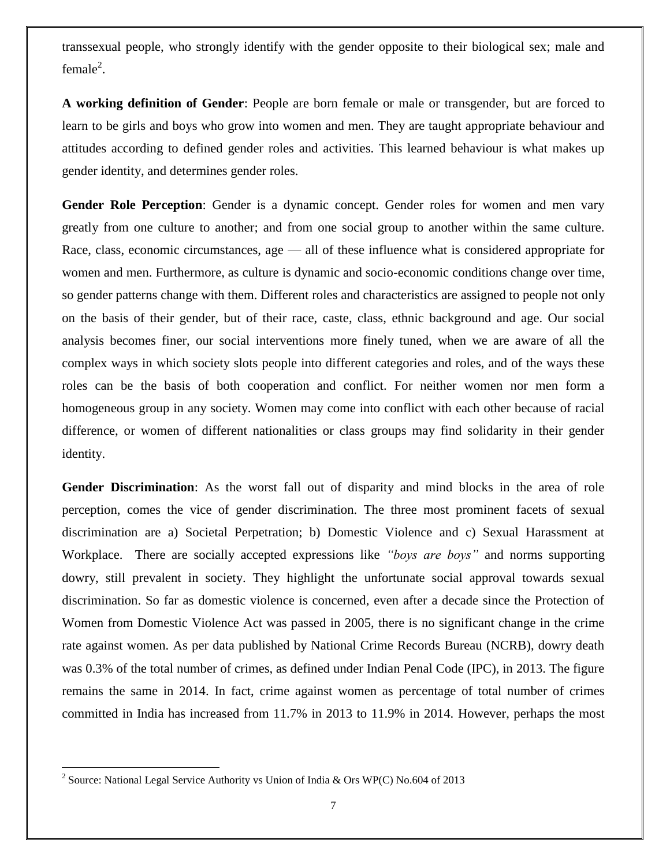transsexual people, who strongly identify with the gender opposite to their biological sex; male and female<sup>2</sup>.

**A working definition of Gender**: People are born female or male or transgender, but are forced to learn to be girls and boys who grow into women and men. They are taught appropriate behaviour and attitudes according to defined gender roles and activities. This learned behaviour is what makes up gender identity, and determines gender roles.

**Gender Role Perception**: Gender is a dynamic concept. Gender roles for women and men vary greatly from one culture to another; and from one social group to another within the same culture. Race, class, economic circumstances, age — all of these influence what is considered appropriate for women and men. Furthermore, as culture is dynamic and socio-economic conditions change over time, so gender patterns change with them. Different roles and characteristics are assigned to people not only on the basis of their gender, but of their race, caste, class, ethnic background and age. Our social analysis becomes finer, our social interventions more finely tuned, when we are aware of all the complex ways in which society slots people into different categories and roles, and of the ways these roles can be the basis of both cooperation and conflict. For neither women nor men form a homogeneous group in any society. Women may come into conflict with each other because of racial difference, or women of different nationalities or class groups may find solidarity in their gender identity.

**Gender Discrimination**: As the worst fall out of disparity and mind blocks in the area of role perception, comes the vice of gender discrimination. The three most prominent facets of sexual discrimination are a) Societal Perpetration; b) Domestic Violence and c) Sexual Harassment at Workplace. There are socially accepted expressions like *"boys are boys"* and norms supporting dowry, still prevalent in society. They highlight the unfortunate social approval towards sexual discrimination. So far as domestic violence is concerned, even after a decade since the Protection of Women from Domestic Violence Act was passed in 2005, there is no significant change in the crime rate against women. As per data published by National Crime Records Bureau (NCRB), dowry death was 0.3% of the total number of crimes, as defined under Indian Penal Code (IPC), in 2013. The figure remains the same in 2014. In fact, crime against women as percentage of total number of crimes committed in India has increased from 11.7% in 2013 to 11.9% in 2014. However, perhaps the most

<sup>&</sup>lt;sup>2</sup> Source: National Legal Service Authority vs Union of India & Ors WP(C) No.604 of 2013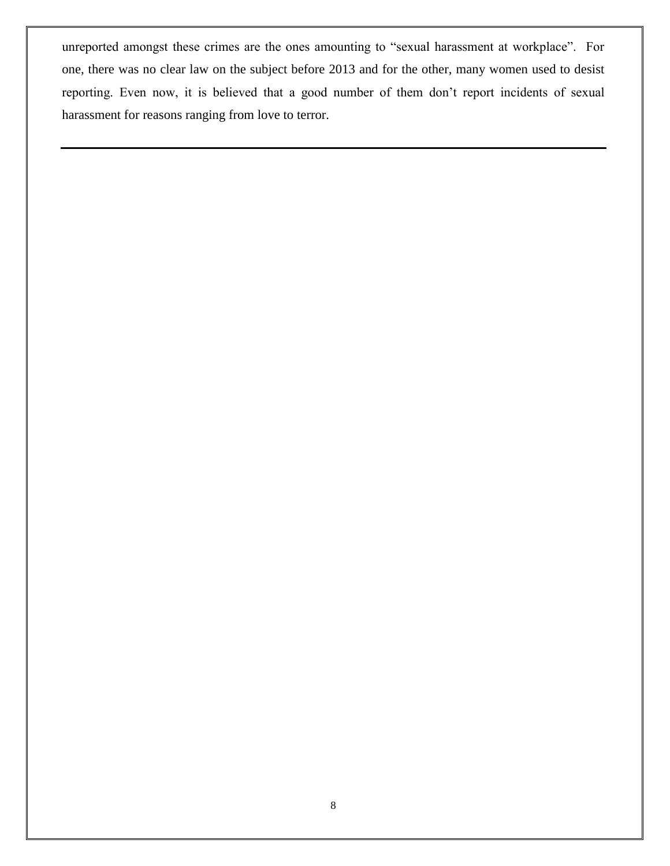unreported amongst these crimes are the ones amounting to "sexual harassment at workplace". For one, there was no clear law on the subject before 2013 and for the other, many women used to desist reporting. Even now, it is believed that a good number of them don't report incidents of sexual harassment for reasons ranging from love to terror.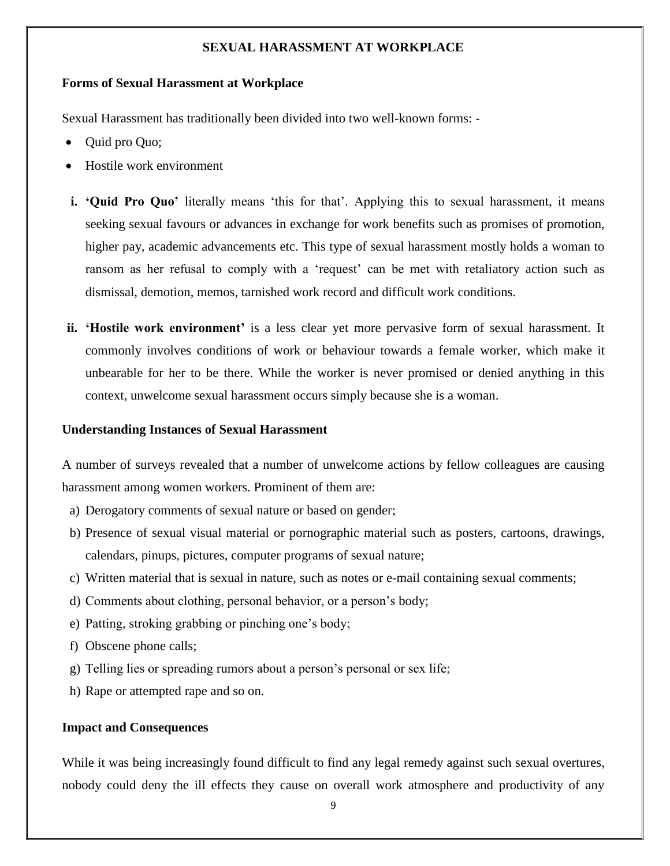#### **SEXUAL HARASSMENT AT WORKPLACE**

#### **Forms of Sexual Harassment at Workplace**

Sexual Harassment has traditionally been divided into two well-known forms: -

- Quid pro Quo;
- Hostile work environment
- **i. 'Quid Pro Quo'** literally means 'this for that'. Applying this to sexual harassment, it means seeking sexual favours or advances in exchange for work benefits such as promises of promotion, higher pay, academic advancements etc. This type of sexual harassment mostly holds a woman to ransom as her refusal to comply with a 'request' can be met with retaliatory action such as dismissal, demotion, memos, tarnished work record and difficult work conditions.
- **ii. 'Hostile work environment'** is a less clear yet more pervasive form of sexual harassment. It commonly involves conditions of work or behaviour towards a female worker, which make it unbearable for her to be there. While the worker is never promised or denied anything in this context, unwelcome sexual harassment occurs simply because she is a woman.

#### **Understanding Instances of Sexual Harassment**

A number of surveys revealed that a number of unwelcome actions by fellow colleagues are causing harassment among women workers. Prominent of them are:

- a) Derogatory comments of sexual nature or based on gender;
- b) Presence of sexual visual material or pornographic material such as posters, cartoons, drawings, calendars, pinups, pictures, computer programs of sexual nature;
- c) Written material that is sexual in nature, such as notes or e-mail containing sexual comments;
- d) Comments about clothing, personal behavior, or a person's body;
- e) Patting, stroking grabbing or pinching one's body;
- f) Obscene phone calls;
- g) Telling lies or spreading rumors about a person's personal or sex life;
- h) Rape or attempted rape and so on.

#### **Impact and Consequences**

While it was being increasingly found difficult to find any legal remedy against such sexual overtures, nobody could deny the ill effects they cause on overall work atmosphere and productivity of any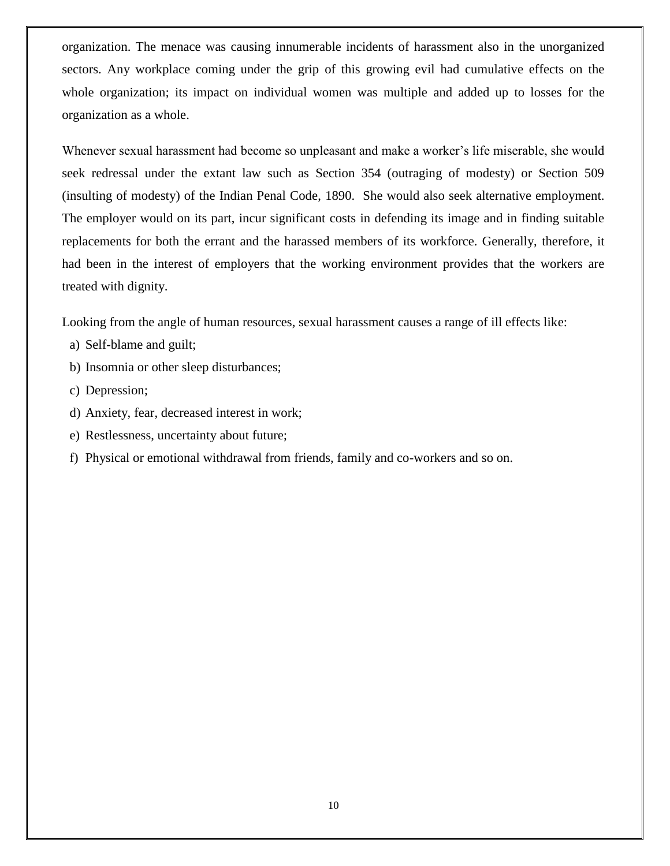organization. The menace was causing innumerable incidents of harassment also in the unorganized sectors. Any workplace coming under the grip of this growing evil had cumulative effects on the whole organization; its impact on individual women was multiple and added up to losses for the organization as a whole.

Whenever sexual harassment had become so unpleasant and make a worker's life miserable, she would seek redressal under the extant law such as Section 354 (outraging of modesty) or Section 509 (insulting of modesty) of the Indian Penal Code, 1890. She would also seek alternative employment. The employer would on its part, incur significant costs in defending its image and in finding suitable replacements for both the errant and the harassed members of its workforce. Generally, therefore, it had been in the interest of employers that the working environment provides that the workers are treated with dignity.

Looking from the angle of human resources, sexual harassment causes a range of ill effects like:

- a) Self-blame and guilt;
- b) Insomnia or other sleep disturbances;
- c) Depression;
- d) Anxiety, fear, decreased interest in work;
- e) Restlessness, uncertainty about future;
- f) Physical or emotional withdrawal from friends, family and co-workers and so on.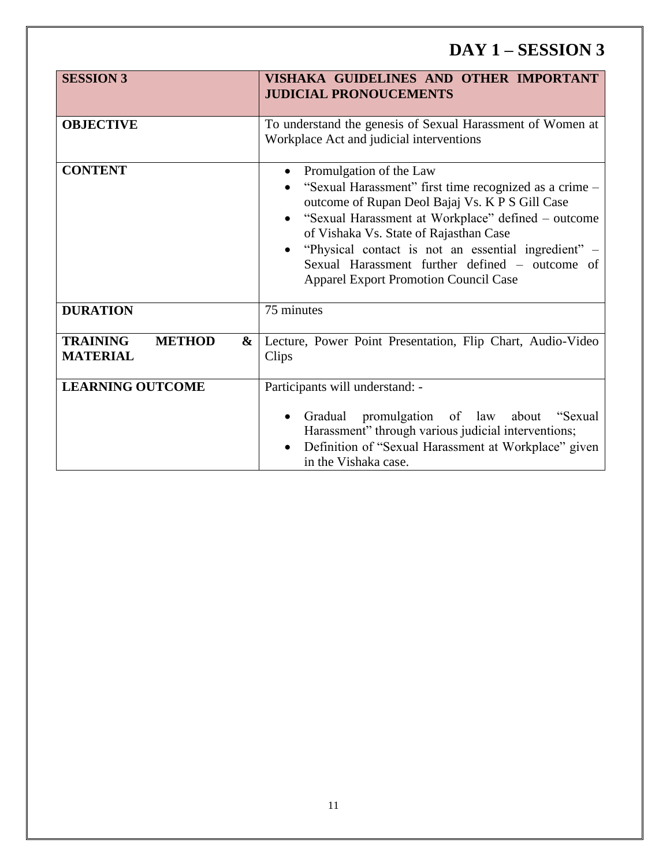# **DAY 1 – SESSION 3**

| <b>SESSION 3</b>                                         | VISHAKA GUIDELINES AND OTHER IMPORTANT<br><b>JUDICIAL PRONOUCEMENTS</b>                                                                                                                                                                                                                                                                                                                                                              |
|----------------------------------------------------------|--------------------------------------------------------------------------------------------------------------------------------------------------------------------------------------------------------------------------------------------------------------------------------------------------------------------------------------------------------------------------------------------------------------------------------------|
| <b>OBJECTIVE</b>                                         | To understand the genesis of Sexual Harassment of Women at<br>Workplace Act and judicial interventions                                                                                                                                                                                                                                                                                                                               |
| <b>CONTENT</b>                                           | Promulgation of the Law<br>$\bullet$<br>"Sexual Harassment" first time recognized as a crime -<br>outcome of Rupan Deol Bajaj Vs. K P S Gill Case<br>"Sexual Harassment at Workplace" defined – outcome<br>$\bullet$<br>of Vishaka Vs. State of Rajasthan Case<br>"Physical contact is not an essential ingredient" –<br>$\bullet$<br>Sexual Harassment further defined - outcome of<br><b>Apparel Export Promotion Council Case</b> |
| <b>DURATION</b>                                          | 75 minutes                                                                                                                                                                                                                                                                                                                                                                                                                           |
| <b>TRAINING</b><br><b>METHOD</b><br>&<br><b>MATERIAL</b> | Lecture, Power Point Presentation, Flip Chart, Audio-Video<br>Clips                                                                                                                                                                                                                                                                                                                                                                  |
| <b>LEARNING OUTCOME</b>                                  | Participants will understand: -<br>Gradual promulgation of law about "Sexual"<br>$\bullet$<br>Harassment" through various judicial interventions;<br>Definition of "Sexual Harassment at Workplace" given<br>$\bullet$<br>in the Vishaka case.                                                                                                                                                                                       |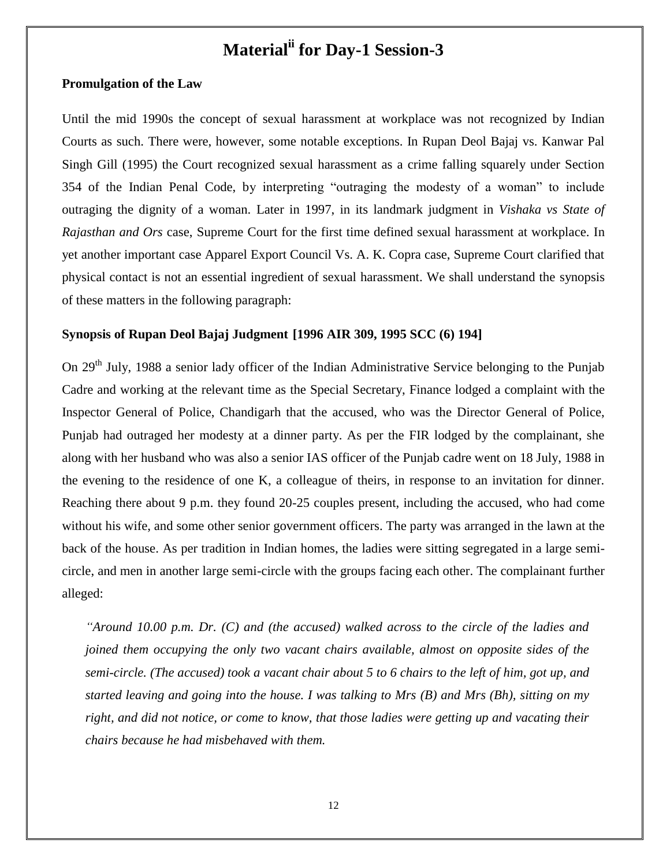# **Materialii for Day-1 Session-3**

#### **Promulgation of the Law**

Until the mid 1990s the concept of sexual harassment at workplace was not recognized by Indian Courts as such. There were, however, some notable exceptions. In Rupan Deol Bajaj vs. Kanwar Pal Singh Gill (1995) the Court recognized sexual harassment as a crime falling squarely under Section 354 of the Indian Penal Code, by interpreting "outraging the modesty of a woman" to include outraging the dignity of a woman. Later in 1997, in its landmark judgment in *Vishaka vs State of Rajasthan and Ors* case, Supreme Court for the first time defined sexual harassment at workplace. In yet another important case Apparel Export Council Vs. A. K. Copra case, Supreme Court clarified that physical contact is not an essential ingredient of sexual harassment. We shall understand the synopsis of these matters in the following paragraph:

#### **Synopsis of Rupan Deol Bajaj Judgment [1996 AIR 309, 1995 SCC (6) 194]**

On 29<sup>th</sup> July, 1988 a senior lady officer of the Indian Administrative Service belonging to the Punjab Cadre and working at the relevant time as the Special Secretary, Finance lodged a complaint with the Inspector General of Police, Chandigarh that the accused, who was the Director General of Police, Punjab had outraged her modesty at a dinner party. As per the FIR lodged by the complainant, she along with her husband who was also a senior IAS officer of the Punjab cadre went on 18 July, 1988 in the evening to the residence of one K, a colleague of theirs, in response to an invitation for dinner. Reaching there about 9 p.m. they found 20-25 couples present, including the accused, who had come without his wife, and some other senior government officers. The party was arranged in the lawn at the back of the house. As per tradition in Indian homes, the ladies were sitting segregated in a large semicircle, and men in another large semi-circle with the groups facing each other. The complainant further alleged:

*"Around 10.00 p.m. Dr. (C) and (the accused) walked across to the circle of the ladies and joined them occupying the only two vacant chairs available, almost on opposite sides of the semi-circle. (The accused) took a vacant chair about 5 to 6 chairs to the left of him, got up, and started leaving and going into the house. I was talking to Mrs (B) and Mrs (Bh), sitting on my right, and did not notice, or come to know, that those ladies were getting up and vacating their chairs because he had misbehaved with them.*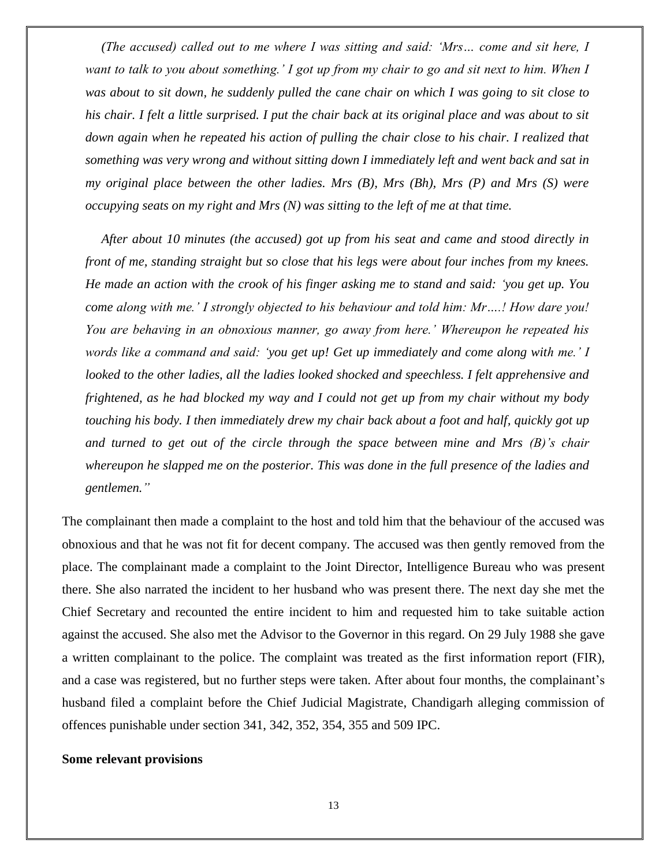*(The accused) called out to me where I was sitting and said: "Mrs… come and sit here, I want to talk to you about something." I got up from my chair to go and sit next to him. When I was about to sit down, he suddenly pulled the cane chair on which I was going to sit close to his chair. I felt a little surprised. I put the chair back at its original place and was about to sit down again when he repeated his action of pulling the chair close to his chair. I realized that something was very wrong and without sitting down I immediately left and went back and sat in my original place between the other ladies. Mrs (B), Mrs (Bh), Mrs (P) and Mrs (S) were occupying seats on my right and Mrs (N) was sitting to the left of me at that time.* 

*After about 10 minutes (the accused) got up from his seat and came and stood directly in front of me, standing straight but so close that his legs were about four inches from my knees. He made an action with the crook of his finger asking me to stand and said: "you get up. You come along with me." I strongly objected to his behaviour and told him: Mr….! How dare you! You are behaving in an obnoxious manner, go away from here." Whereupon he repeated his words like a command and said: "you get up! Get up immediately and come along with me." I looked to the other ladies, all the ladies looked shocked and speechless. I felt apprehensive and frightened, as he had blocked my way and I could not get up from my chair without my body touching his body. I then immediately drew my chair back about a foot and half, quickly got up and turned to get out of the circle through the space between mine and Mrs (B)"s chair whereupon he slapped me on the posterior. This was done in the full presence of the ladies and gentlemen."*

The complainant then made a complaint to the host and told him that the behaviour of the accused was obnoxious and that he was not fit for decent company. The accused was then gently removed from the place. The complainant made a complaint to the Joint Director, Intelligence Bureau who was present there. She also narrated the incident to her husband who was present there. The next day she met the Chief Secretary and recounted the entire incident to him and requested him to take suitable action against the accused. She also met the Advisor to the Governor in this regard. On 29 July 1988 she gave a written complainant to the police. The complaint was treated as the first information report (FIR), and a case was registered, but no further steps were taken. After about four months, the complainant's husband filed a complaint before the Chief Judicial Magistrate, Chandigarh alleging commission of offences punishable under section 341, 342, 352, 354, 355 and 509 IPC.

#### **Some relevant provisions**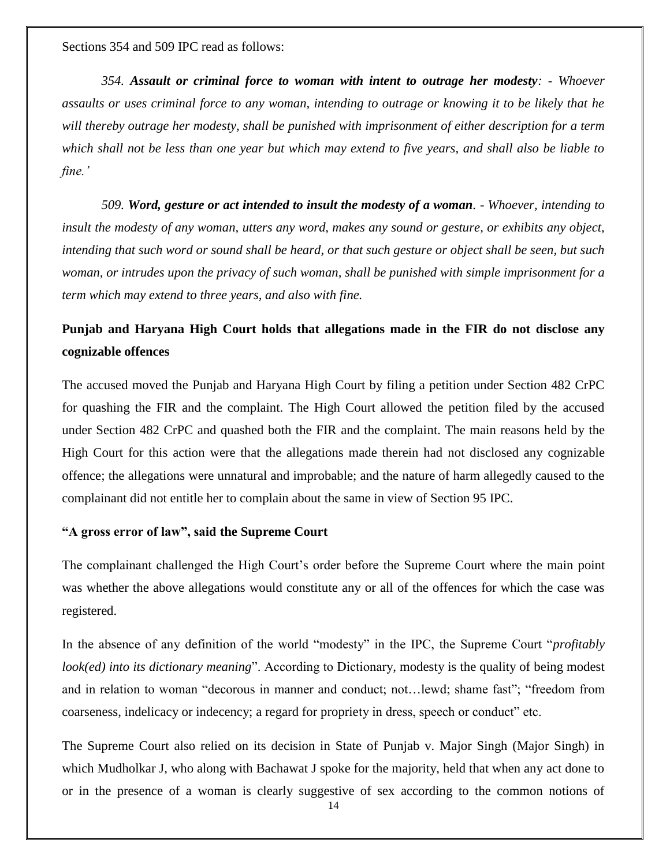Sections 354 and 509 IPC read as follows:

*354. Assault or criminal force to woman with intent to outrage her modesty: - Whoever assaults or uses criminal force to any woman, intending to outrage or knowing it to be likely that he will thereby outrage her modesty, shall be punished with imprisonment of either description for a term which shall not be less than one year but which may extend to five years, and shall also be liable to fine."*

*509. Word, gesture or act intended to insult the modesty of a woman. - Whoever, intending to insult the modesty of any woman, utters any word, makes any sound or gesture, or exhibits any object, intending that such word or sound shall be heard, or that such gesture or object shall be seen, but such woman, or intrudes upon the privacy of such woman, shall be punished with simple imprisonment for a term which may extend to three years, and also with fine.*

## **Punjab and Haryana High Court holds that allegations made in the FIR do not disclose any cognizable offences**

The accused moved the Punjab and Haryana High Court by filing a petition under Section 482 CrPC for quashing the FIR and the complaint. The High Court allowed the petition filed by the accused under Section 482 CrPC and quashed both the FIR and the complaint. The main reasons held by the High Court for this action were that the allegations made therein had not disclosed any cognizable offence; the allegations were unnatural and improbable; and the nature of harm allegedly caused to the complainant did not entitle her to complain about the same in view of Section 95 IPC.

#### **"A gross error of law", said the Supreme Court**

The complainant challenged the High Court's order before the Supreme Court where the main point was whether the above allegations would constitute any or all of the offences for which the case was registered.

In the absence of any definition of the world "modesty" in the IPC, the Supreme Court "*profitably look(ed) into its dictionary meaning*". According to Dictionary, modesty is the quality of being modest and in relation to woman "decorous in manner and conduct; not...lewd; shame fast"; "freedom from coarseness, indelicacy or indecency; a regard for propriety in dress, speech or conduct" etc.

The Supreme Court also relied on its decision in State of Punjab v. Major Singh (Major Singh) in which Mudholkar J, who along with Bachawat J spoke for the majority, held that when any act done to or in the presence of a woman is clearly suggestive of sex according to the common notions of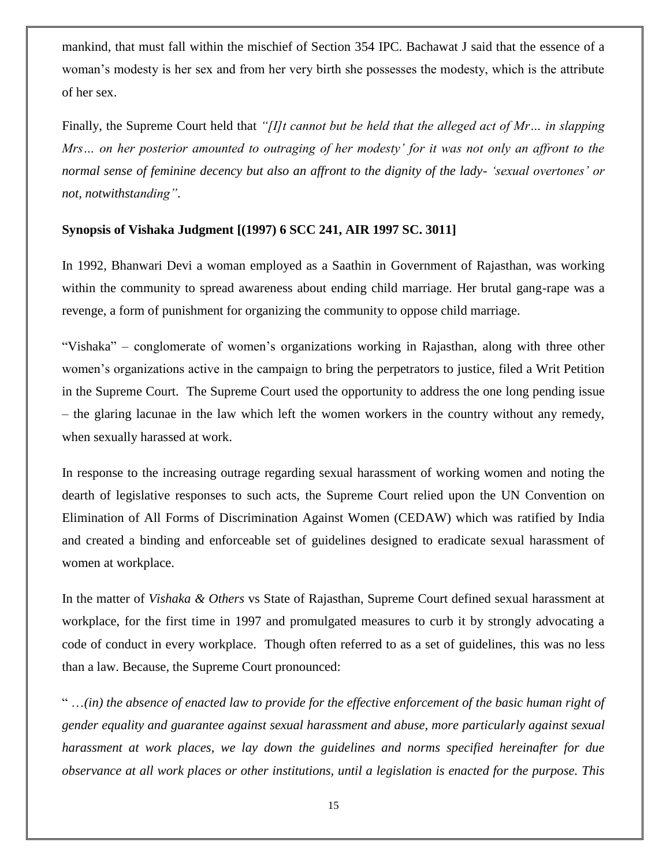mankind, that must fall within the mischief of Section 354 IPC. Bachawat J said that the essence of a woman's modesty is her sex and from her very birth she possesses the modesty, which is the attribute of her sex.

Finally, the Supreme Court held that *"[I]t cannot but be held that the alleged act of Mr… in slapping Mrs… on her posterior amounted to outraging of her modesty" for it was not only an affront to the normal sense of feminine decency but also an affront to the dignity of the lady- "sexual overtones" or not, notwithstanding"*.

## **Synopsis of Vishaka Judgment [(1997) 6 SCC 241, AIR 1997 SC. 3011]**

In 1992, Bhanwari Devi a woman employed as a Saathin in Government of Rajasthan, was working within the community to spread awareness about ending child marriage. Her brutal gang-rape was a revenge, a form of punishment for organizing the community to oppose child marriage.

―Vishaka‖ – conglomerate of women's organizations working in Rajasthan, along with three other women's organizations active in the campaign to bring the perpetrators to justice, filed a Writ Petition in the Supreme Court. The Supreme Court used the opportunity to address the one long pending issue – the glaring lacunae in the law which left the women workers in the country without any remedy, when sexually harassed at work.

In response to the increasing outrage regarding sexual harassment of working women and noting the dearth of legislative responses to such acts, the Supreme Court relied upon the UN Convention on Elimination of All Forms of Discrimination Against Women (CEDAW) which was ratified by India and created a binding and enforceable set of guidelines designed to eradicate sexual harassment of women at workplace.

In the matter of *Vishaka & Others* vs State of Rajasthan, Supreme Court defined sexual harassment at workplace, for the first time in 1997 and promulgated measures to curb it by strongly advocating a code of conduct in every workplace. Though often referred to as a set of guidelines, this was no less than a law. Because, the Supreme Court pronounced:

― …*(in) the absence of enacted law to provide for the effective enforcement of the basic human right of gender equality and guarantee against sexual harassment and abuse, more particularly against sexual harassment at work places, we lay down the guidelines and norms specified hereinafter for due observance at all work places or other institutions, until a legislation is enacted for the purpose. This*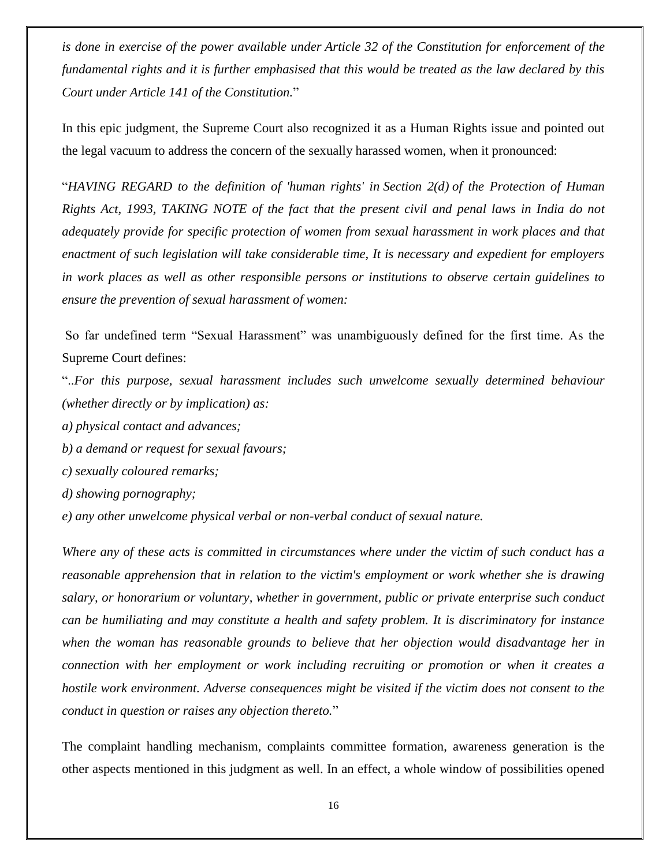*is done in exercise of the power available under [Article 32](http://indiankanoon.org/doc/981147/) of the Constitution for enforcement of the fundamental rights and it is further emphasised that this would be treated as the law declared by this Court under [Article 141](http://indiankanoon.org/doc/882644/) of the Constitution.*‖

In this epic judgment, the Supreme Court also recognized it as a Human Rights issue and pointed out the legal vacuum to address the concern of the sexually harassed women, when it pronounced:

―*HAVING REGARD to the definition of 'human rights' in [Section 2\(d\)](http://indiankanoon.org/doc/994266/) of the Protection of Human Rights Act, 1993, TAKING NOTE of the fact that the present civil and penal laws in India do not adequately provide for specific protection of women from sexual harassment in work places and that enactment of such legislation will take considerable time, It is necessary and expedient for employers in work places as well as other responsible persons or institutions to observe certain guidelines to ensure the prevention of sexual harassment of women:*

So far undefined term "Sexual Harassment" was unambiguously defined for the first time. As the Supreme Court defines:

―..*For this purpose, sexual harassment includes such unwelcome sexually determined behaviour (whether directly or by implication) as:*

- *a) physical contact and advances;*
- *b) a demand or request for sexual favours;*
- *c) sexually coloured remarks;*
- *d) showing pornography;*

*e) any other unwelcome physical verbal or non-verbal conduct of sexual nature.*

*Where any of these acts is committed in circumstances where under the victim of such conduct has a reasonable apprehension that in relation to the victim's employment or work whether she is drawing salary, or honorarium or voluntary, whether in government, public or private enterprise such conduct can be humiliating and may constitute a health and safety problem. It is discriminatory for instance when the woman has reasonable grounds to believe that her objection would disadvantage her in connection with her employment or work including recruiting or promotion or when it creates a hostile work environment. Adverse consequences might be visited if the victim does not consent to the conduct in question or raises any objection thereto.*‖

The complaint handling mechanism, complaints committee formation, awareness generation is the other aspects mentioned in this judgment as well. In an effect, a whole window of possibilities opened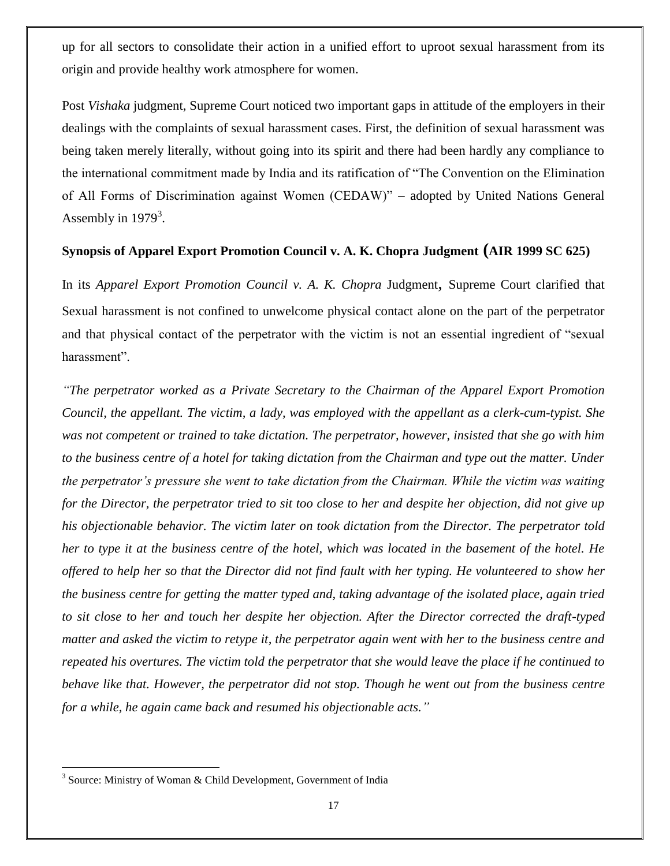up for all sectors to consolidate their action in a unified effort to uproot sexual harassment from its origin and provide healthy work atmosphere for women.

Post *Vishaka* judgment, Supreme Court noticed two important gaps in attitude of the employers in their dealings with the complaints of sexual harassment cases. First, the definition of sexual harassment was being taken merely literally, without going into its spirit and there had been hardly any compliance to the international commitment made by India and its ratification of "The Convention on the Elimination" of All Forms of Discrimination against Women (CEDAW)" – adopted by United Nations General Assembly in  $1979<sup>3</sup>$ .

#### **Synopsis of Apparel Export Promotion Council v. A. K. Chopra Judgment (AIR 1999 SC 625)**

In its *Apparel Export Promotion Council v. A. K. Chopra* Judgment, Supreme Court clarified that Sexual harassment is not confined to unwelcome physical contact alone on the part of the perpetrator and that physical contact of the perpetrator with the victim is not an essential ingredient of "sexual" harassment".

*"The perpetrator worked as a Private Secretary to the Chairman of the Apparel Export Promotion Council, the appellant. The victim, a lady, was employed with the appellant as a clerk-cum-typist. She was not competent or trained to take dictation. The perpetrator, however, insisted that she go with him to the business centre of a hotel for taking dictation from the Chairman and type out the matter. Under the perpetrator"s pressure she went to take dictation from the Chairman. While the victim was waiting for the Director, the perpetrator tried to sit too close to her and despite her objection, did not give up his objectionable behavior. The victim later on took dictation from the Director. The perpetrator told her to type it at the business centre of the hotel, which was located in the basement of the hotel. He offered to help her so that the Director did not find fault with her typing. He volunteered to show her the business centre for getting the matter typed and, taking advantage of the isolated place, again tried to sit close to her and touch her despite her objection. After the Director corrected the draft-typed matter and asked the victim to retype it, the perpetrator again went with her to the business centre and repeated his overtures. The victim told the perpetrator that she would leave the place if he continued to behave like that. However, the perpetrator did not stop. Though he went out from the business centre for a while, he again came back and resumed his objectionable acts."*

<sup>&</sup>lt;sup>3</sup> Source: Ministry of Woman & Child Development, Government of India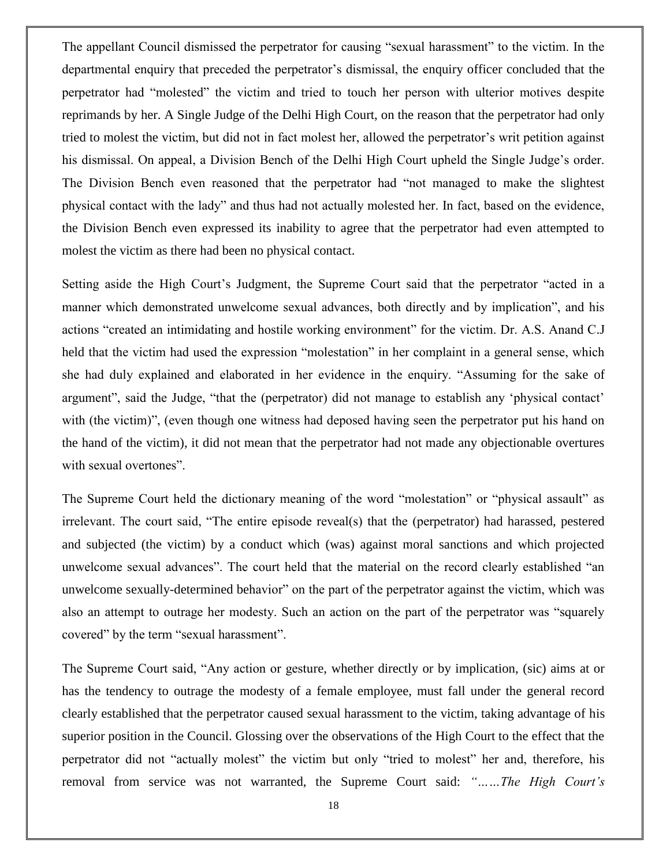The appellant Council dismissed the perpetrator for causing "sexual harassment" to the victim. In the departmental enquiry that preceded the perpetrator's dismissal, the enquiry officer concluded that the perpetrator had "molested" the victim and tried to touch her person with ulterior motives despite reprimands by her. A Single Judge of the Delhi High Court, on the reason that the perpetrator had only tried to molest the victim, but did not in fact molest her, allowed the perpetrator's writ petition against his dismissal. On appeal, a Division Bench of the Delhi High Court upheld the Single Judge's order. The Division Bench even reasoned that the perpetrator had "not managed to make the slightest" physical contact with the lady" and thus had not actually molested her. In fact, based on the evidence, the Division Bench even expressed its inability to agree that the perpetrator had even attempted to molest the victim as there had been no physical contact.

Setting aside the High Court's Judgment, the Supreme Court said that the perpetrator "acted in a manner which demonstrated unwelcome sexual advances, both directly and by implication", and his actions "created an intimidating and hostile working environment" for the victim. Dr. A.S. Anand C.J held that the victim had used the expression "molestation" in her complaint in a general sense, which she had duly explained and elaborated in her evidence in the enquiry. "Assuming for the sake of argument", said the Judge, "that the (perpetrator) did not manage to establish any 'physical contact' with (the victim)", (even though one witness had deposed having seen the perpetrator put his hand on the hand of the victim), it did not mean that the perpetrator had not made any objectionable overtures with sexual overtones".

The Supreme Court held the dictionary meaning of the word "molestation" or "physical assault" as irrelevant. The court said, "The entire episode reveal(s) that the (perpetrator) had harassed, pestered and subjected (the victim) by a conduct which (was) against moral sanctions and which projected unwelcome sexual advances". The court held that the material on the record clearly established "an unwelcome sexually-determined behavior" on the part of the perpetrator against the victim, which was also an attempt to outrage her modesty. Such an action on the part of the perpetrator was "squarely covered" by the term "sexual harassment".

The Supreme Court said, "Any action or gesture, whether directly or by implication, (sic) aims at or has the tendency to outrage the modesty of a female employee, must fall under the general record clearly established that the perpetrator caused sexual harassment to the victim, taking advantage of his superior position in the Council. Glossing over the observations of the High Court to the effect that the perpetrator did not "actually molest" the victim but only "tried to molest" her and, therefore, his removal from service was not warranted, the Supreme Court said: *"……The High Court"s*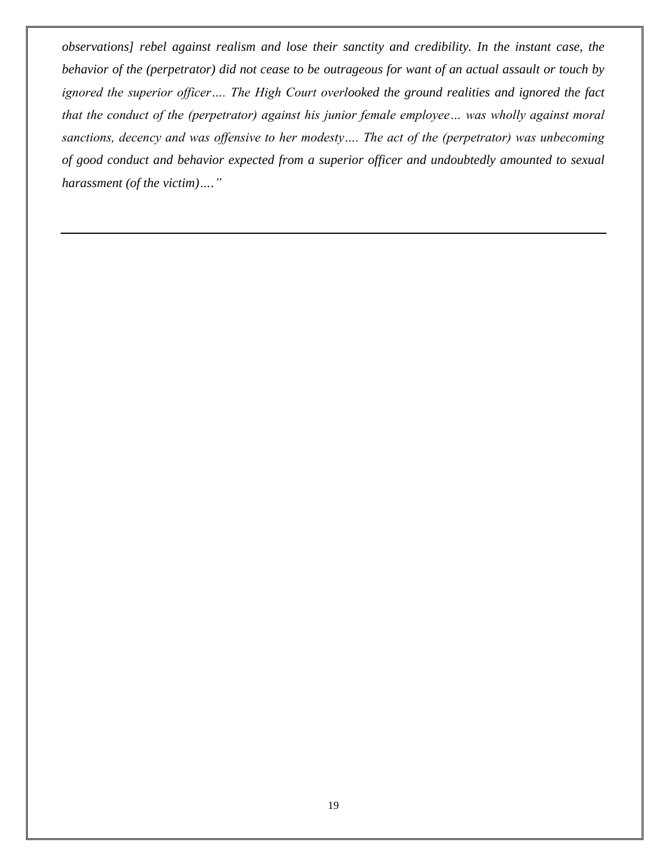*observations] rebel against realism and lose their sanctity and credibility. In the instant case, the behavior of the (perpetrator) did not cease to be outrageous for want of an actual assault or touch by ignored the superior officer…. The High Court overlooked the ground realities and ignored the fact that the conduct of the (perpetrator) against his junior female employee… was wholly against moral sanctions, decency and was offensive to her modesty…. The act of the (perpetrator) was unbecoming of good conduct and behavior expected from a superior officer and undoubtedly amounted to sexual harassment (of the victim)…."*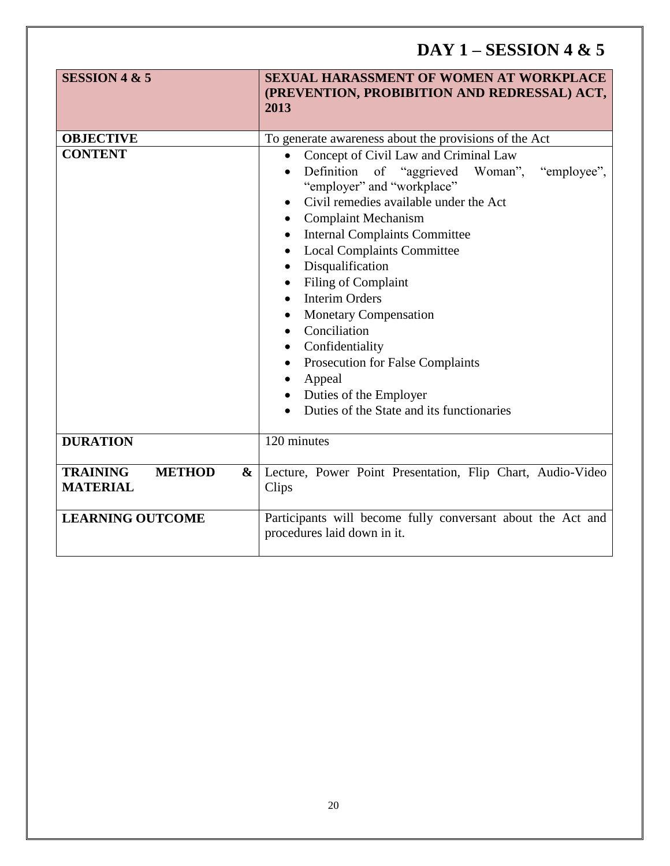# **DAY 1 – SESSION 4 & 5**

| <b>SESSION 4 &amp; 5</b>                                 | <b>SEXUAL HARASSMENT OF WOMEN AT WORKPLACE</b><br>(PREVENTION, PROBIBITION AND REDRESSAL) ACT,<br>2013                                                                                                                                                                                                                                                                                                                                                                                                                                                                                                                                                                         |  |
|----------------------------------------------------------|--------------------------------------------------------------------------------------------------------------------------------------------------------------------------------------------------------------------------------------------------------------------------------------------------------------------------------------------------------------------------------------------------------------------------------------------------------------------------------------------------------------------------------------------------------------------------------------------------------------------------------------------------------------------------------|--|
|                                                          |                                                                                                                                                                                                                                                                                                                                                                                                                                                                                                                                                                                                                                                                                |  |
| <b>OBJECTIVE</b>                                         | To generate awareness about the provisions of the Act                                                                                                                                                                                                                                                                                                                                                                                                                                                                                                                                                                                                                          |  |
| <b>CONTENT</b>                                           | Concept of Civil Law and Criminal Law<br>Definition of "aggrieved Woman",<br>"employee",<br>$\bullet$<br>"employer" and "workplace"<br>Civil remedies available under the Act<br>$\bullet$<br><b>Complaint Mechanism</b><br><b>Internal Complaints Committee</b><br>$\bullet$<br><b>Local Complaints Committee</b><br>$\bullet$<br>Disqualification<br>$\bullet$<br>Filing of Complaint<br>$\bullet$<br><b>Interim Orders</b><br>$\bullet$<br><b>Monetary Compensation</b><br>$\bullet$<br>Conciliation<br>٠<br>Confidentiality<br>Prosecution for False Complaints<br>Appeal<br>$\bullet$<br>Duties of the Employer<br>$\bullet$<br>Duties of the State and its functionaries |  |
| <b>DURATION</b>                                          | 120 minutes                                                                                                                                                                                                                                                                                                                                                                                                                                                                                                                                                                                                                                                                    |  |
| <b>TRAINING</b><br><b>METHOD</b><br>&<br><b>MATERIAL</b> | Lecture, Power Point Presentation, Flip Chart, Audio-Video<br>Clips                                                                                                                                                                                                                                                                                                                                                                                                                                                                                                                                                                                                            |  |
| <b>LEARNING OUTCOME</b>                                  | Participants will become fully conversant about the Act and<br>procedures laid down in it.                                                                                                                                                                                                                                                                                                                                                                                                                                                                                                                                                                                     |  |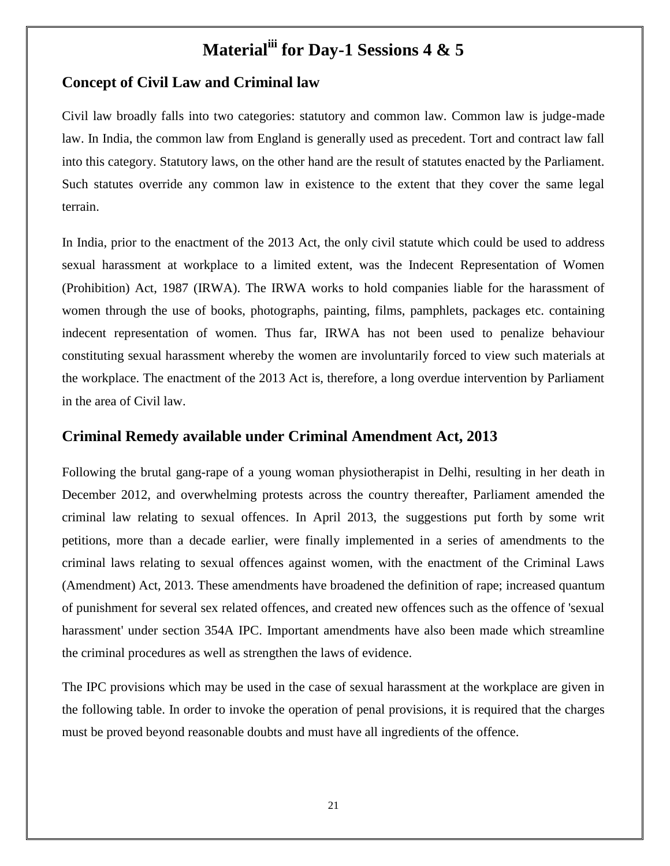# **Materialiii for Day-1 Sessions 4 & 5**

## **Concept of Civil Law and Criminal law**

Civil law broadly falls into two categories: statutory and common law. Common law is judge-made law. In India, the common law from England is generally used as precedent. Tort and contract law fall into this category. Statutory laws, on the other hand are the result of statutes enacted by the Parliament. Such statutes override any common law in existence to the extent that they cover the same legal terrain.

In India, prior to the enactment of the 2013 Act, the only civil statute which could be used to address sexual harassment at workplace to a limited extent, was the Indecent Representation of Women (Prohibition) Act, 1987 (IRWA). The IRWA works to hold companies liable for the harassment of women through the use of books, photographs, painting, films, pamphlets, packages etc. containing indecent representation of women. Thus far, IRWA has not been used to penalize behaviour constituting sexual harassment whereby the women are involuntarily forced to view such materials at the workplace. The enactment of the 2013 Act is, therefore, a long overdue intervention by Parliament in the area of Civil law.

#### **Criminal Remedy available under Criminal Amendment Act, 2013**

Following the brutal gang-rape of a young woman physiotherapist in Delhi, resulting in her death in December 2012, and overwhelming protests across the country thereafter, Parliament amended the criminal law relating to sexual offences. In April 2013, the suggestions put forth by some writ petitions, more than a decade earlier, were finally implemented in a series of amendments to the criminal laws relating to sexual offences against women, with the enactment of the Criminal Laws (Amendment) Act, 2013. These amendments have broadened the definition of rape; increased quantum of punishment for several sex related offences, and created new offences such as the offence of 'sexual harassment' under section 354A IPC. Important amendments have also been made which streamline the criminal procedures as well as strengthen the laws of evidence.

The IPC provisions which may be used in the case of sexual harassment at the workplace are given in the following table. In order to invoke the operation of penal provisions, it is required that the charges must be proved beyond reasonable doubts and must have all ingredients of the offence.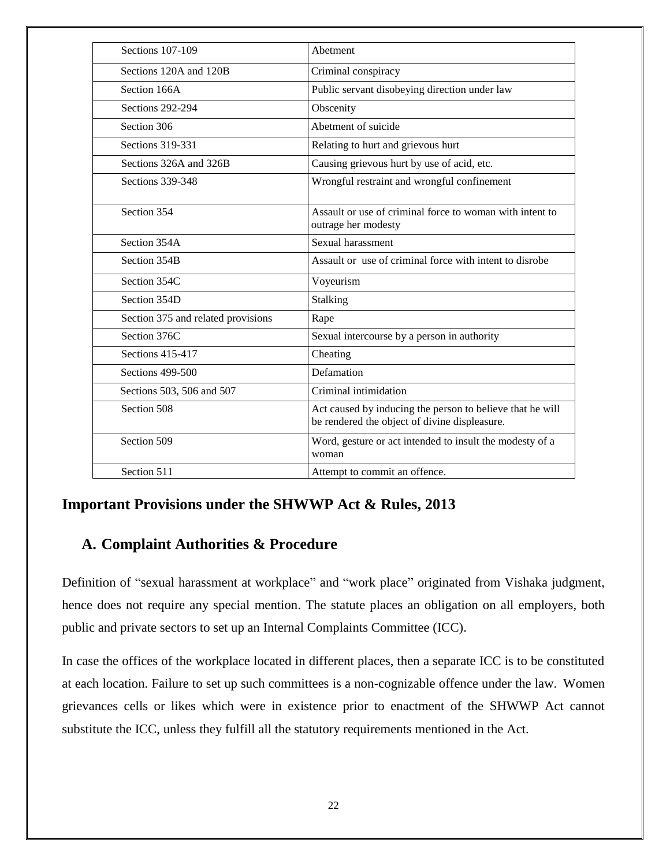| Sections 107-109                   | Abetment                                                                                                   |
|------------------------------------|------------------------------------------------------------------------------------------------------------|
| Sections 120A and 120B             | Criminal conspiracy                                                                                        |
| Section 166A                       | Public servant disobeying direction under law                                                              |
| Sections 292-294                   | Obscenity                                                                                                  |
| Section 306                        | Abetment of suicide                                                                                        |
| Sections 319-331                   | Relating to hurt and grievous hurt                                                                         |
| Sections 326A and 326B             | Causing grievous hurt by use of acid, etc.                                                                 |
| Sections 339-348                   | Wrongful restraint and wrongful confinement                                                                |
| Section 354                        | Assault or use of criminal force to woman with intent to<br>outrage her modesty                            |
| Section 354A                       | Sexual harassment                                                                                          |
| Section 354B                       | Assault or use of criminal force with intent to disrobe                                                    |
| Section 354C                       | Voyeurism                                                                                                  |
| Section 354D                       | Stalking                                                                                                   |
| Section 375 and related provisions | Rape                                                                                                       |
| Section 376C                       | Sexual intercourse by a person in authority                                                                |
| Sections 415-417                   | Cheating                                                                                                   |
| Sections 499-500                   | Defamation                                                                                                 |
| Sections 503, 506 and 507          | Criminal intimidation                                                                                      |
| Section 508                        | Act caused by inducing the person to believe that he will<br>be rendered the object of divine displeasure. |
| Section 509                        | Word, gesture or act intended to insult the modesty of a<br>woman                                          |
| Section 511                        | Attempt to commit an offence.                                                                              |

## **Important Provisions under the SHWWP Act & Rules, 2013**

## **A. Complaint Authorities & Procedure**

Definition of "sexual harassment at workplace" and "work place" originated from Vishaka judgment, hence does not require any special mention. The statute places an obligation on all employers, both public and private sectors to set up an Internal Complaints Committee (ICC).

In case the offices of the workplace located in different places, then a separate ICC is to be constituted at each location. Failure to set up such committees is a non-cognizable offence under the law. Women grievances cells or likes which were in existence prior to enactment of the SHWWP Act cannot substitute the ICC, unless they fulfill all the statutory requirements mentioned in the Act.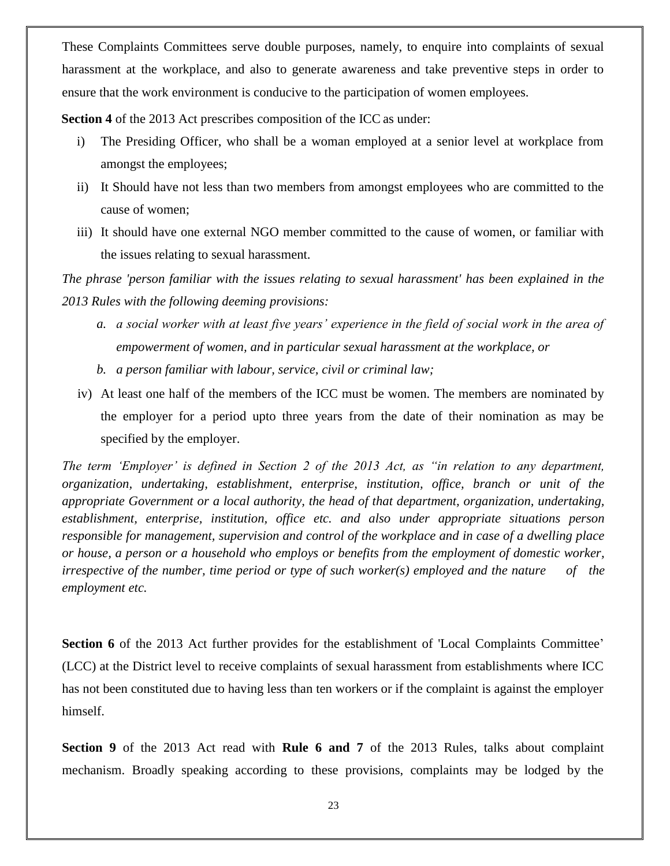These Complaints Committees serve double purposes, namely, to enquire into complaints of sexual harassment at the workplace, and also to generate awareness and take preventive steps in order to ensure that the work environment is conducive to the participation of women employees.

**Section 4** of the 2013 Act prescribes composition of the ICC as under:

- i) The Presiding Officer, who shall be a woman employed at a senior level at workplace from amongst the employees;
- ii) It Should have not less than two members from amongst employees who are committed to the cause of women;
- iii) It should have one external NGO member committed to the cause of women, or familiar with the issues relating to sexual harassment.

*The phrase 'person familiar with the issues relating to sexual harassment' has been explained in the 2013 Rules with the following deeming provisions:*

- *a. a social worker with at least five years" experience in the field of social work in the area of empowerment of women, and in particular sexual harassment at the workplace, or*
- *b. a person familiar with labour, service, civil or criminal law;*
- iv) At least one half of the members of the ICC must be women. The members are nominated by the employer for a period upto three years from the date of their nomination as may be specified by the employer.

*The term "Employer" is defined in Section 2 of the 2013 Act, as "in relation to any department, organization, undertaking, establishment, enterprise, institution, office, branch or unit of the appropriate Government or a local authority, the head of that department, organization, undertaking, establishment, enterprise, institution, office etc. and also under appropriate situations person responsible for management, supervision and control of the workplace and in case of a dwelling place or house, a person or a household who employs or benefits from the employment of domestic worker, irrespective of the number, time period or type of such worker(s) employed and the nature employment etc.*

Section 6 of the 2013 Act further provides for the establishment of 'Local Complaints Co (LCC) at the District level to receive complaints of sexual harassment from establishments w has not been constituted due to having less than ten workers or if the complaint is against the himself.

**Section 9** of the 2013 Act read with **Rule 6 and 7** of the 2013 Rules, talks about c mechanism. Broadly speaking according to these provisions, complaints may be lodged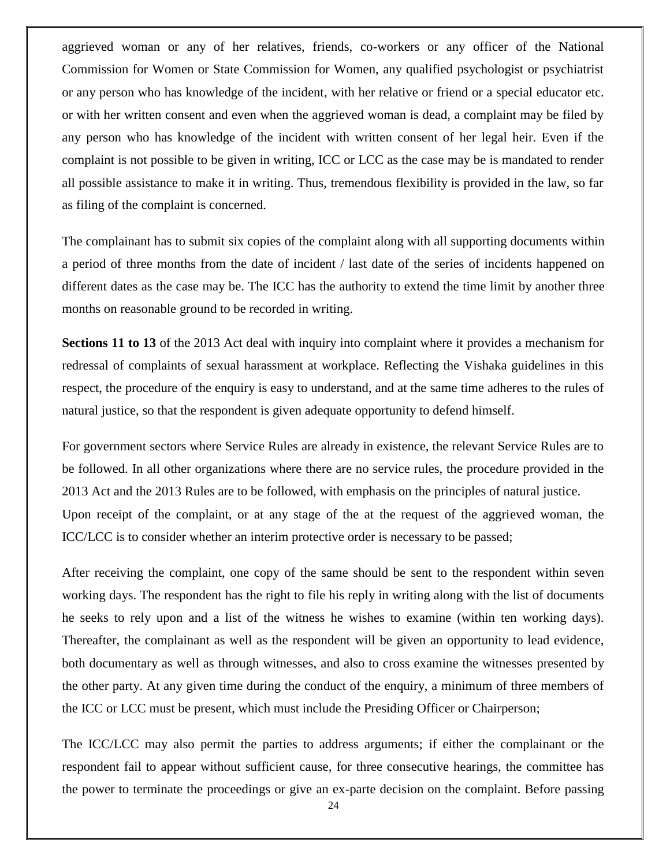aggrieved woman or any of her relatives, friends, co-workers or any officer of the National Commission for Women or State Commission for Women, any qualified psychologist or psychiatrist or any person who has knowledge of the incident, with her relative or friend or a special educator etc. or with her written consent and even when the aggrieved woman is dead, a complaint may be filed by any person who has knowledge of the incident with written consent of her legal heir. Even if the complaint is not possible to be given in writing, ICC or LCC as the case may be is mandated to render all possible assistance to make it in writing. Thus, tremendous flexibility is provided in the law, so far as filing of the complaint is concerned.

The complainant has to submit six copies of the complaint along with all supporting documents within a period of three months from the date of incident / last date of the series of incidents happened on different dates as the case may be. The ICC has the authority to extend the time limit by another three months on reasonable ground to be recorded in writing.

**Sections 11 to 13** of the 2013 Act deal with inquiry into complaint where it provides a mechanism for redressal of complaints of sexual harassment at workplace. Reflecting the Vishaka guidelines in this respect, the procedure of the enquiry is easy to understand, and at the same time adheres to the rules of natural justice, so that the respondent is given adequate opportunity to defend himself.

For government sectors where Service Rules are already in existence, the relevant Service Rules are to be followed. In all other organizations where there are no service rules, the procedure provided in the 2013 Act and the 2013 Rules are to be followed, with emphasis on the principles of natural justice. Upon receipt of the complaint, or at any stage of the at the request of the aggrieved woman, the ICC/LCC is to consider whether an interim protective order is necessary to be passed;

After receiving the complaint, one copy of the same should be sent to the respondent within seven working days. The respondent has the right to file his reply in writing along with the list of documents he seeks to rely upon and a list of the witness he wishes to examine (within ten working days). Thereafter, the complainant as well as the respondent will be given an opportunity to lead evidence, both documentary as well as through witnesses, and also to cross examine the witnesses presented by the other party. At any given time during the conduct of the enquiry, a minimum of three members of the ICC or LCC must be present, which must include the Presiding Officer or Chairperson;

The ICC/LCC may also permit the parties to address arguments; if either the complainant or the respondent fail to appear without sufficient cause, for three consecutive hearings, the committee has the power to terminate the proceedings or give an ex-parte decision on the complaint. Before passing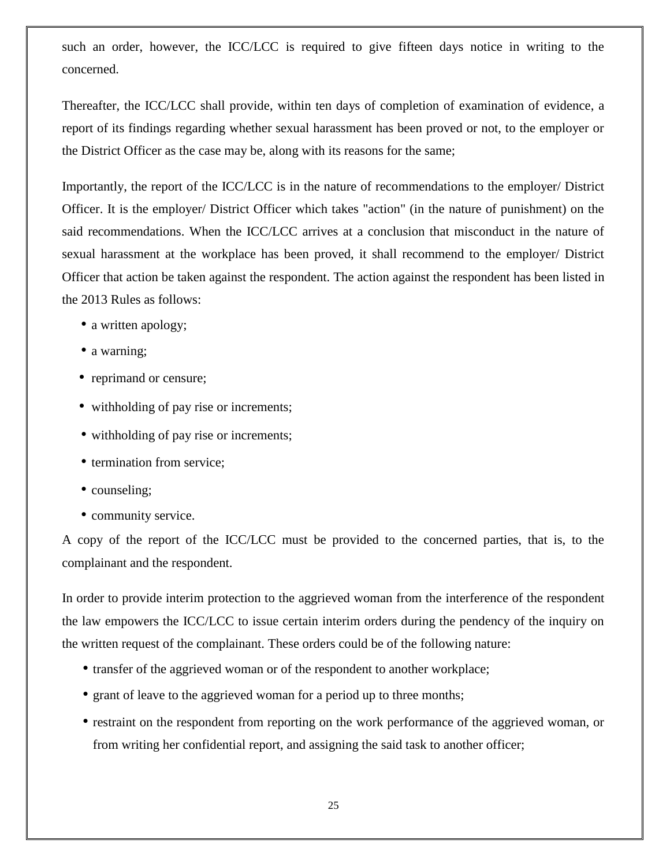such an order, however, the ICC/LCC is required to give fifteen days notice in writing to the concerned.

Thereafter, the ICC/LCC shall provide, within ten days of completion of examination of evidence, a report of its findings regarding whether sexual harassment has been proved or not, to the employer or the District Officer as the case may be, along with its reasons for the same;

Importantly, the report of the ICC/LCC is in the nature of recommendations to the employer/ District Officer. It is the employer/ District Officer which takes "action" (in the nature of punishment) on the said recommendations. When the ICC/LCC arrives at a conclusion that misconduct in the nature of sexual harassment at the workplace has been proved, it shall recommend to the employer/ District Officer that action be taken against the respondent. The action against the respondent has been listed in the 2013 Rules as follows:

- a written apology;
- a warning;
- reprimand or censure;
- withholding of pay rise or increments;
- withholding of pay rise or increments;
- termination from service;
- counseling;
- community service.

A copy of the report of the ICC/LCC must be provided to the concerned parties, that is, to the complainant and the respondent.

In order to provide interim protection to the aggrieved woman from the interference of the respondent the law empowers the ICC/LCC to issue certain interim orders during the pendency of the inquiry on the written request of the complainant. These orders could be of the following nature:

- transfer of the aggrieved woman or of the respondent to another workplace;
- grant of leave to the aggrieved woman for a period up to three months;
- restraint on the respondent from reporting on the work performance of the aggrieved woman, or from writing her confidential report, and assigning the said task to another officer;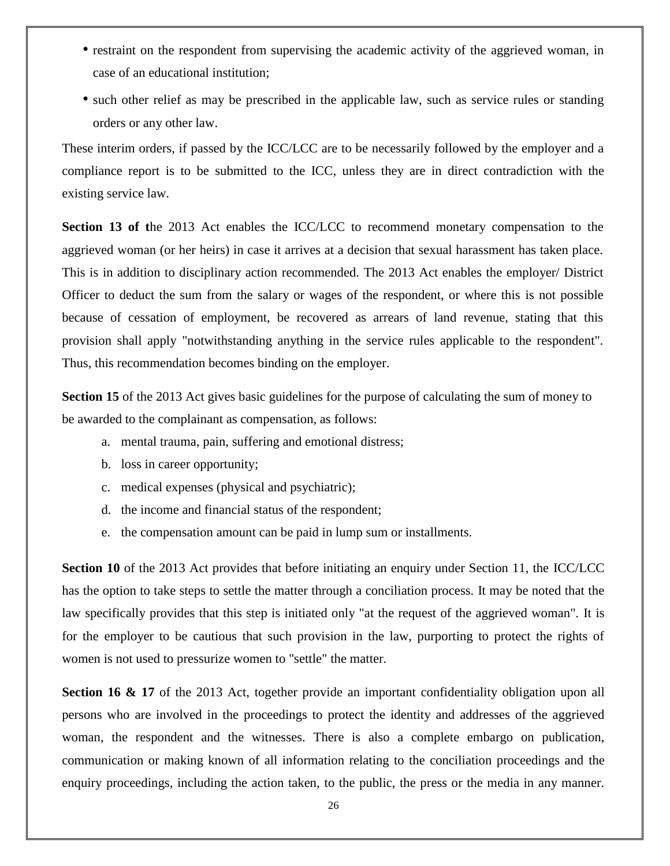- restraint on the respondent from supervising the academic activity of the aggrieved woman, in case of an educational institution;
- such other relief as may be prescribed in the applicable law, such as service rules or standing orders or any other law.

These interim orders, if passed by the ICC/LCC are to be necessarily followed by the employer and a compliance report is to be submitted to the ICC, unless they are in direct contradiction with the existing service law.

**Section 13 of t**he 2013 Act enables the ICC/LCC to recommend monetary compensation to the aggrieved woman (or her heirs) in case it arrives at a decision that sexual harassment has taken place. This is in addition to disciplinary action recommended. The 2013 Act enables the employer/ District Officer to deduct the sum from the salary or wages of the respondent, or where this is not possible because of cessation of employment, be recovered as arrears of land revenue, stating that this provision shall apply "notwithstanding anything in the service rules applicable to the respondent". Thus, this recommendation becomes binding on the employer.

**Section 15** of the 2013 Act gives basic guidelines for the purpose of calculating the sum of money to be awarded to the complainant as compensation, as follows:

- a. mental trauma, pain, suffering and emotional distress;
- b. loss in career opportunity;
- c. medical expenses (physical and psychiatric);
- d. the income and financial status of the respondent;
- e. the compensation amount can be paid in lump sum or installments.

**Section 10** of the 2013 Act provides that before initiating an enquiry under Section 11, the ICC/LCC has the option to take steps to settle the matter through a conciliation process. It may be noted that the law specifically provides that this step is initiated only "at the request of the aggrieved woman". It is for the employer to be cautious that such provision in the law, purporting to protect the rights of women is not used to pressurize women to "settle" the matter.

**Section 16 & 17** of the 2013 Act, together provide an important confidentiality obligation upon all persons who are involved in the proceedings to protect the identity and addresses of the aggrieved woman, the respondent and the witnesses. There is also a complete embargo on publication, communication or making known of all information relating to the conciliation proceedings and the enquiry proceedings, including the action taken, to the public, the press or the media in any manner.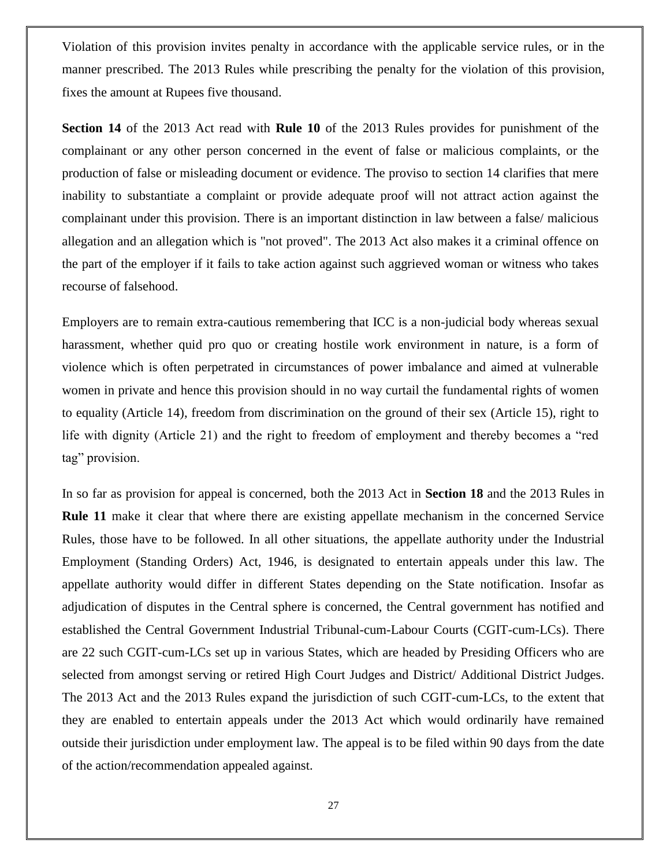Violation of this provision invites penalty in accordance with the applicable service rules, or in the manner prescribed. The 2013 Rules while prescribing the penalty for the violation of this provision, fixes the amount at Rupees five thousand.

**Section 14** of the 2013 Act read with **Rule 10** of the 2013 Rules provides for punishment of the complainant or any other person concerned in the event of false or malicious complaints, or the production of false or misleading document or evidence. The proviso to section 14 clarifies that mere inability to substantiate a complaint or provide adequate proof will not attract action against the complainant under this provision. There is an important distinction in law between a false/ malicious allegation and an allegation which is "not proved". The 2013 Act also makes it a criminal offence on the part of the employer if it fails to take action against such aggrieved woman or witness who takes recourse of falsehood.

Employers are to remain extra-cautious remembering that ICC is a non-judicial body whereas sexual harassment, whether quid pro quo or creating hostile work environment in nature, is a form of violence which is often perpetrated in circumstances of power imbalance and aimed at vulnerable women in private and hence this provision should in no way curtail the fundamental rights of women to equality (Article 14), freedom from discrimination on the ground of their sex (Article 15), right to life with dignity (Article 21) and the right to freedom of employment and thereby becomes a "red tag" provision.

In so far as provision for appeal is concerned, both the 2013 Act in **Section 18** and the 2013 Rules in **Rule 11** make it clear that where there are existing appellate mechanism in the concerned Service Rules, those have to be followed. In all other situations, the appellate authority under the Industrial Employment (Standing Orders) Act, 1946, is designated to entertain appeals under this law. The appellate authority would differ in different States depending on the State notification. Insofar as adjudication of disputes in the Central sphere is concerned, the Central government has notified and established the Central Government Industrial Tribunal-cum-Labour Courts (CGIT-cum-LCs). There are 22 such CGIT-cum-LCs set up in various States, which are headed by Presiding Officers who are selected from amongst serving or retired High Court Judges and District/ Additional District Judges. The 2013 Act and the 2013 Rules expand the jurisdiction of such CGIT-cum-LCs, to the extent that they are enabled to entertain appeals under the 2013 Act which would ordinarily have remained outside their jurisdiction under employment law. The appeal is to be filed within 90 days from the date of the action/recommendation appealed against.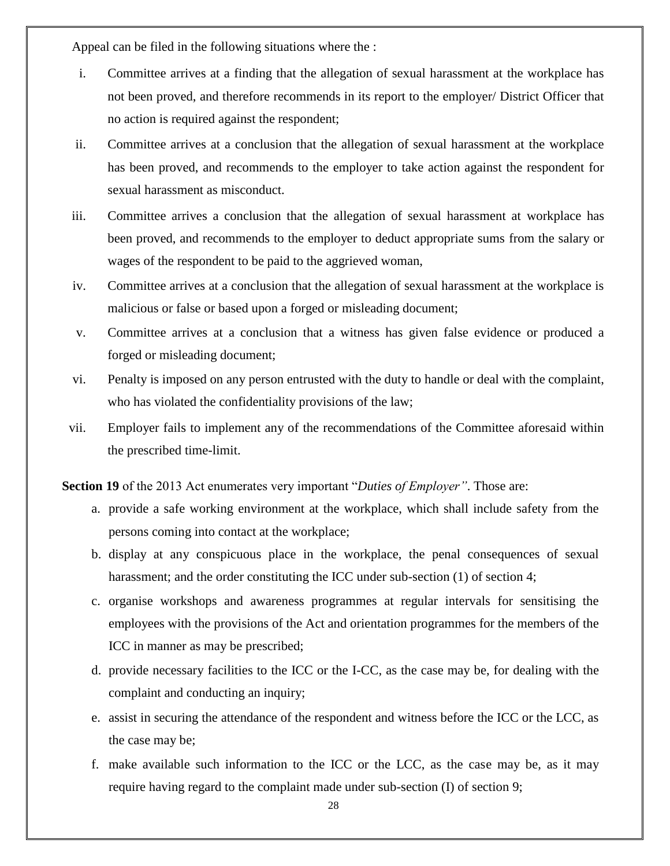Appeal can be filed in the following situations where the :

- i. Committee arrives at a finding that the allegation of sexual harassment at the workplace has not been proved, and therefore recommends in its report to the employer/ District Officer that no action is required against the respondent;
- ii. Committee arrives at a conclusion that the allegation of sexual harassment at the workplace has been proved, and recommends to the employer to take action against the respondent for sexual harassment as misconduct.
- iii. Committee arrives a conclusion that the allegation of sexual harassment at workplace has been proved, and recommends to the employer to deduct appropriate sums from the salary or wages of the respondent to be paid to the aggrieved woman,
- iv. Committee arrives at a conclusion that the allegation of sexual harassment at the workplace is malicious or false or based upon a forged or misleading document;
- v. Committee arrives at a conclusion that a witness has given false evidence or produced a forged or misleading document;
- vi. Penalty is imposed on any person entrusted with the duty to handle or deal with the complaint, who has violated the confidentiality provisions of the law;
- vii. Employer fails to implement any of the recommendations of the Committee aforesaid within the prescribed time-limit.

**Section 19** of the 2013 Act enumerates very important "*Duties of Employer*". Those are:

- a. provide a safe working environment at the workplace, which shall include safety from the persons coming into contact at the workplace;
- b. display at any conspicuous place in the workplace, the penal consequences of sexual harassment; and the order constituting the ICC under sub-section (1) of section 4;
- c. organise workshops and awareness programmes at regular intervals for sensitising the employees with the provisions of the Act and orientation programmes for the members of the ICC in manner as may be prescribed;
- d. provide necessary facilities to the ICC or the I-CC, as the case may be, for dealing with the complaint and conducting an inquiry;
- e. assist in securing the attendance of the respondent and witness before the ICC or the LCC, as the case may be;
- f. make available such information to the ICC or the LCC, as the case may be, as it may require having regard to the complaint made under sub-section (I) of section 9;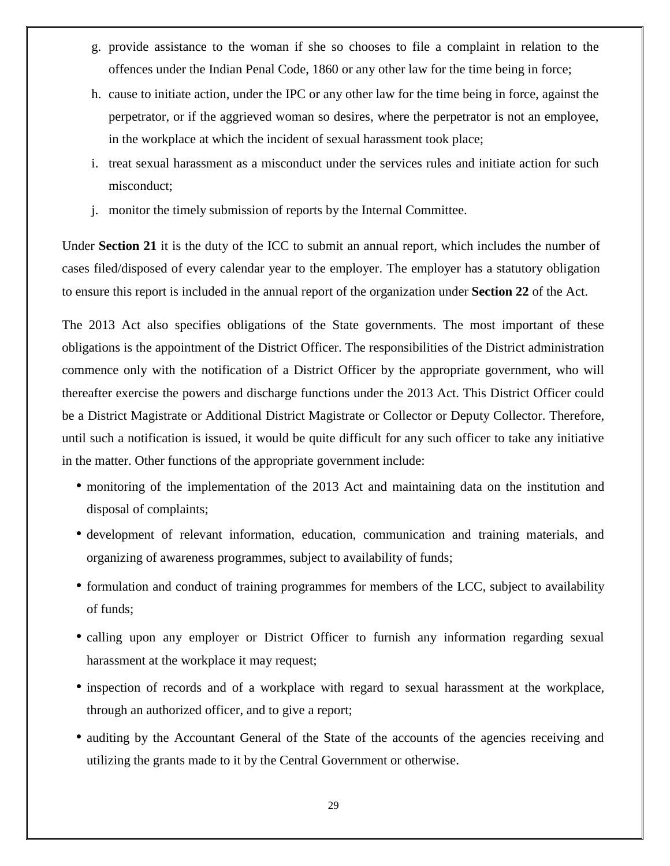- g. provide assistance to the woman if she so chooses to file a complaint in relation to the offences under the Indian Penal Code, 1860 or any other law for the time being in force;
- h. cause to initiate action, under the IPC or any other law for the time being in force, against the perpetrator, or if the aggrieved woman so desires, where the perpetrator is not an employee, in the workplace at which the incident of sexual harassment took place;
- i. treat sexual harassment as a misconduct under the services rules and initiate action for such misconduct;
- j. monitor the timely submission of reports by the Internal Committee.

Under **Section 21** it is the duty of the ICC to submit an annual report, which includes the number of cases filed/disposed of every calendar year to the employer. The employer has a statutory obligation to ensure this report is included in the annual report of the organization under **Section 22** of the Act.

The 2013 Act also specifies obligations of the State governments. The most important of these obligations is the appointment of the District Officer. The responsibilities of the District administration commence only with the notification of a District Officer by the appropriate government, who will thereafter exercise the powers and discharge functions under the 2013 Act. This District Officer could be a District Magistrate or Additional District Magistrate or Collector or Deputy Collector. Therefore, until such a notification is issued, it would be quite difficult for any such officer to take any initiative in the matter. Other functions of the appropriate government include:

- monitoring of the implementation of the 2013 Act and maintaining data on the institution and disposal of complaints;
- development of relevant information, education, communication and training materials, and organizing of awareness programmes, subject to availability of funds;
- formulation and conduct of training programmes for members of the LCC, subject to availability of funds;
- calling upon any employer or District Officer to furnish any information regarding sexual harassment at the workplace it may request;
- inspection of records and of a workplace with regard to sexual harassment at the workplace, through an authorized officer, and to give a report;
- auditing by the Accountant General of the State of the accounts of the agencies receiving and utilizing the grants made to it by the Central Government or otherwise.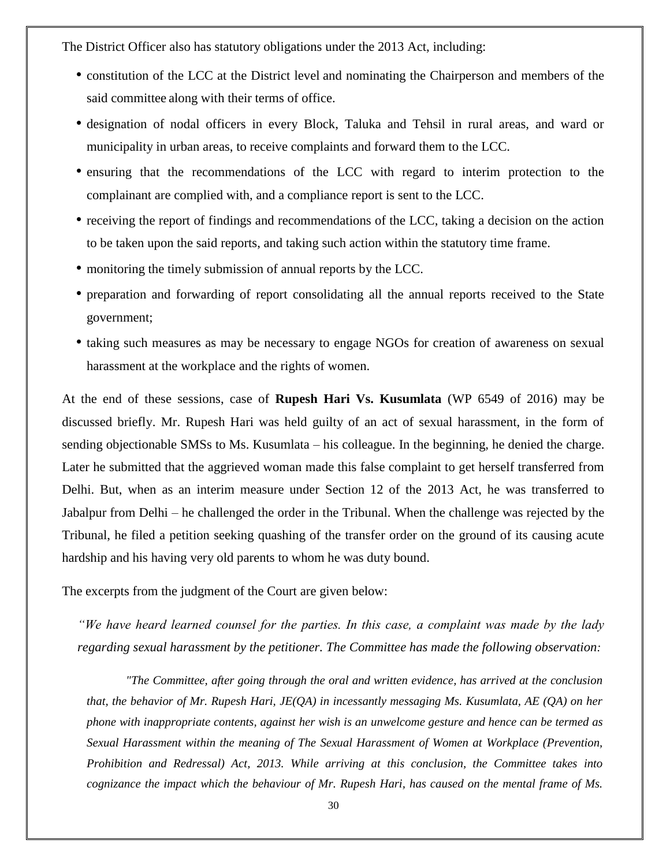The District Officer also has statutory obligations under the 2013 Act, including:

- constitution of the LCC at the District level and nominating the Chairperson and members of the said committee along with their terms of office.
- designation of nodal officers in every Block, Taluka and Tehsil in rural areas, and ward or municipality in urban areas, to receive complaints and forward them to the LCC.
- ensuring that the recommendations of the LCC with regard to interim protection to the complainant are complied with, and a compliance report is sent to the LCC.
- receiving the report of findings and recommendations of the LCC, taking a decision on the action to be taken upon the said reports, and taking such action within the statutory time frame.
- monitoring the timely submission of annual reports by the LCC.
- preparation and forwarding of report consolidating all the annual reports received to the State government;
- taking such measures as may be necessary to engage NGOs for creation of awareness on sexual harassment at the workplace and the rights of women.

At the end of these sessions, case of **Rupesh Hari Vs. Kusumlata** (WP 6549 of 2016) may be discussed briefly. Mr. Rupesh Hari was held guilty of an act of sexual harassment, in the form of sending objectionable SMSs to Ms. Kusumlata – his colleague. In the beginning, he denied the charge. Later he submitted that the aggrieved woman made this false complaint to get herself transferred from Delhi. But, when as an interim measure under Section 12 of the 2013 Act, he was transferred to Jabalpur from Delhi – he challenged the order in the Tribunal. When the challenge was rejected by the Tribunal, he filed a petition seeking quashing of the transfer order on the ground of its causing acute hardship and his having very old parents to whom he was duty bound.

The excerpts from the judgment of the Court are given below:

*"We have heard learned counsel for the parties. In this case, a complaint was made by the lady regarding sexual harassment by the petitioner. The Committee has made the following observation:*

*"The Committee, after going through the oral and written evidence, has arrived at the conclusion that, the behavior of Mr. Rupesh Hari, JE(QA) in incessantly messaging Ms. Kusumlata, AE (QA) on her phone with inappropriate contents, against her wish is an unwelcome gesture and hence can be termed as Sexual Harassment within the meaning of The Sexual Harassment of Women at Workplace (Prevention, Prohibition and Redressal) Act, 2013. While arriving at this conclusion, the Committee takes into cognizance the impact which the behaviour of Mr. Rupesh Hari, has caused on the mental frame of Ms.*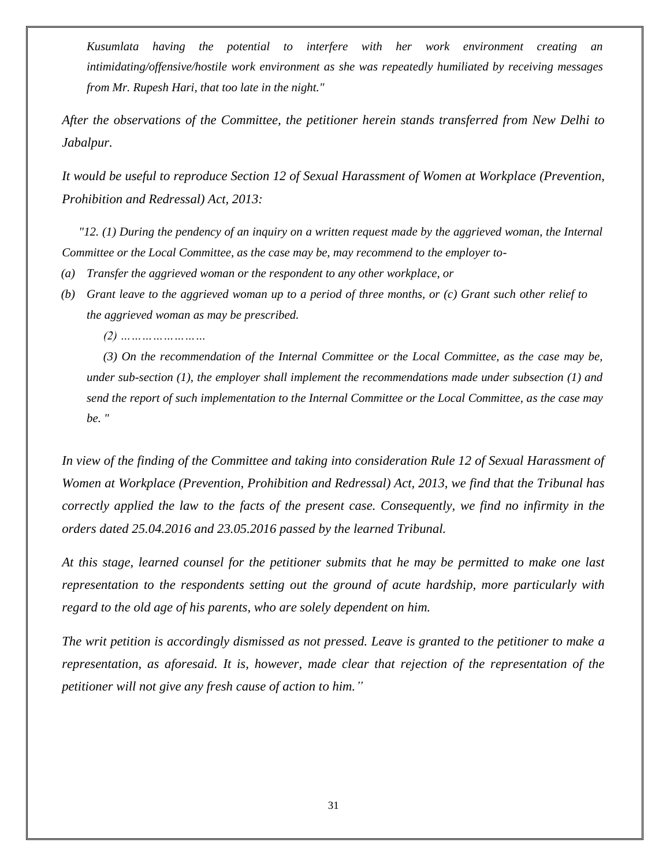*Kusumlata having the potential to interfere with her work environment creating an intimidating/offensive/hostile work environment as she was repeatedly humiliated by receiving messages from Mr. Rupesh Hari, that too late in the night."*

*After the observations of the Committee, the petitioner herein stands transferred from New Delhi to Jabalpur.*

*It would be useful to reproduce Section 12 of Sexual Harassment of Women at Workplace (Prevention, Prohibition and Redressal) Act, 2013:*

*"12. (1) During the pendency of an inquiry on a written request made by the aggrieved woman, the Internal Committee or the Local Committee, as the case may be, may recommend to the employer to-*

- *(a) Transfer the aggrieved woman or the respondent to any other workplace, or*
- *(b) Grant leave to the aggrieved woman up to a period of three months, or (c) Grant such other relief to the aggrieved woman as may be prescribed.*

*(2) ……………………*

*(3) On the recommendation of the Internal Committee or the Local Committee, as the case may be, under sub-section (1), the employer shall implement the recommendations made under subsection (1) and send the report of such implementation to the Internal Committee or the Local Committee, as the case may be. "*

*In view of the finding of the Committee and taking into consideration Rule 12 of Sexual Harassment of Women at Workplace (Prevention, Prohibition and Redressal) Act, 2013, we find that the Tribunal has correctly applied the law to the facts of the present case. Consequently, we find no infirmity in the orders dated 25.04.2016 and 23.05.2016 passed by the learned Tribunal.*

*At this stage, learned counsel for the petitioner submits that he may be permitted to make one last representation to the respondents setting out the ground of acute hardship, more particularly with regard to the old age of his parents, who are solely dependent on him.*

*The writ petition is accordingly dismissed as not pressed. Leave is granted to the petitioner to make a representation, as aforesaid. It is, however, made clear that rejection of the representation of the petitioner will not give any fresh cause of action to him."*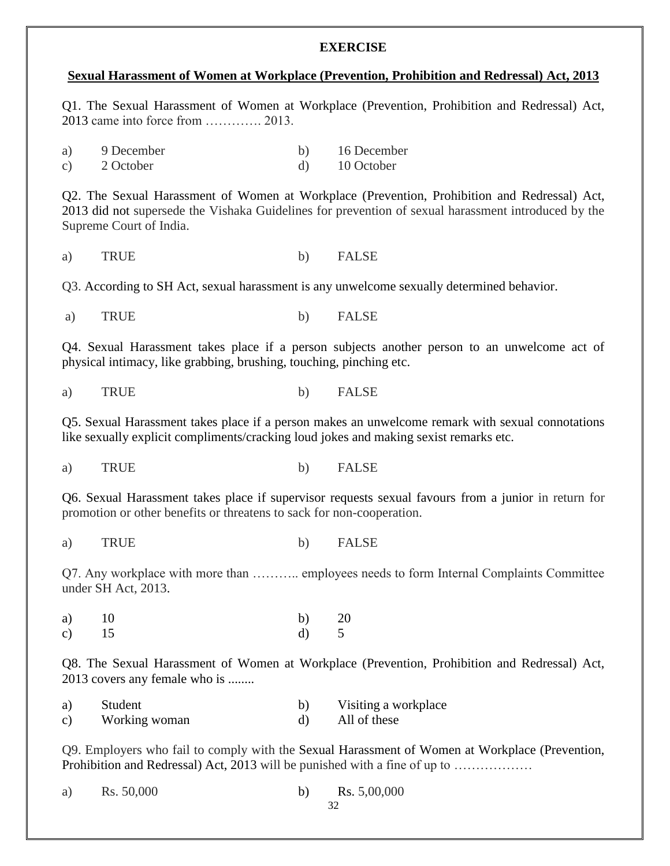#### **EXERCISE**

#### **Sexual Harassment of Women at Workplace (Prevention, Prohibition and Redressal) Act, 2013**

Q1. The Sexual Harassment of Women at Workplace (Prevention, Prohibition and Redressal) Act, 2013 came into force from …………. 2013.

| a)              | 9 December | 16 December |
|-----------------|------------|-------------|
| $\mathcal{C}$ ) | 2 October  | 10 October  |

Q2. The Sexual Harassment of Women at Workplace (Prevention, Prohibition and Redressal) Act, 2013 did not supersede the Vishaka Guidelines for prevention of sexual harassment introduced by the Supreme Court of India.

a) TRUE b) FALSE

Q3. According to SH Act, sexual harassment is any unwelcome sexually determined behavior.

a) TRUE b) FALSE

Q4. Sexual Harassment takes place if a person subjects another person to an unwelcome act of physical intimacy, like grabbing, brushing, touching, pinching etc.

a) TRUE b) FALSE

Q5. Sexual Harassment takes place if a person makes an unwelcome remark with sexual connotations like sexually explicit compliments/cracking loud jokes and making sexist remarks etc.

a) TRUE b) FALSE

Q6. Sexual Harassment takes place if supervisor requests sexual favours from a junior in return for promotion or other benefits or threatens to sack for non-cooperation.

a) TRUE b) FALSE

Q7. Any workplace with more than ……….. employees needs to form Internal Complaints Committee under SH Act, 2013.

| a) $10$ | b) $20$ |  |
|---------|---------|--|
| c) $15$ | $d)$ 5  |  |

Q8. The Sexual Harassment of Women at Workplace (Prevention, Prohibition and Redressal) Act, 2013 covers any female who is ........

| a)              | Student       | Visiting a workplace |
|-----------------|---------------|----------------------|
| $\mathcal{C}$ ) | Working woman | All of these         |

Q9. Employers who fail to comply with the Sexual Harassment of Women at Workplace (Prevention, Prohibition and Redressal) Act, 2013 will be punished with a fine of up to ………………

| a) | Rs. 50,000 | Rs. 5,00,000 |
|----|------------|--------------|
|    |            |              |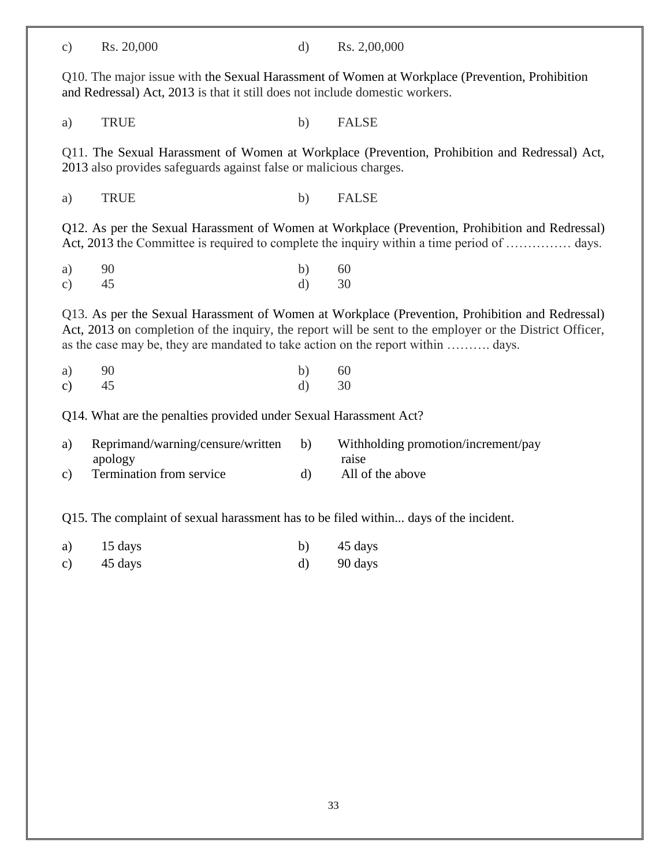c) Rs. 20,000 d) Rs. 2,00,000

Q10. The major issue with the Sexual Harassment of Women at Workplace (Prevention, Prohibition and Redressal) Act, 2013 is that it still does not include domestic workers.

a) TRUE b) FALSE

Q11. The Sexual Harassment of Women at Workplace (Prevention, Prohibition and Redressal) Act, 2013 also provides safeguards against false or malicious charges.

a) TRUE b) FALSE

Q12. As per the Sexual Harassment of Women at Workplace (Prevention, Prohibition and Redressal) Act, 2013 the Committee is required to complete the inquiry within a time period of ................ days.

a) 90 b) 60 c)  $45$  d)  $30$ 

Q13. As per the Sexual Harassment of Women at Workplace (Prevention, Prohibition and Redressal) Act, 2013 on completion of the inquiry, the report will be sent to the employer or the District Officer, as the case may be, they are mandated to take action on the report within ………. days.

a) 90 b) 60 c)  $45$  d)  $30$ 

Q14. What are the penalties provided under Sexual Harassment Act?

| a) | Reprimand/warning/censure/written | Withholding promotion/increment/pay |
|----|-----------------------------------|-------------------------------------|
|    | apology                           | raise                               |
| C) | <b>Termination from service</b>   | All of the above                    |

Q15. The complaint of sexual harassment has to be filed within... days of the incident.

- a)  $15 \text{ days}$  b)  $45 \text{ days}$
- c)  $45 \text{ days}$  d)  $90 \text{ days}$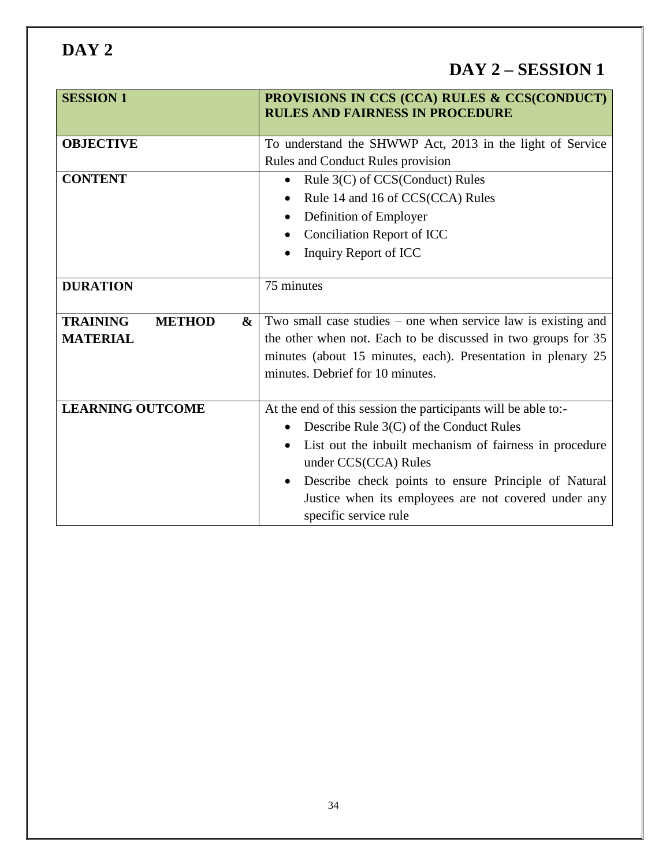**DAY 2**

| <b>SESSION 1</b>                                         | PROVISIONS IN CCS (CCA) RULES & CCS(CONDUCT)<br><b>RULES AND FAIRNESS IN PROCEDURE</b>                                                                                                                                                                                                                                                            |
|----------------------------------------------------------|---------------------------------------------------------------------------------------------------------------------------------------------------------------------------------------------------------------------------------------------------------------------------------------------------------------------------------------------------|
| <b>OBJECTIVE</b>                                         | To understand the SHWWP Act, 2013 in the light of Service<br>Rules and Conduct Rules provision                                                                                                                                                                                                                                                    |
| <b>CONTENT</b>                                           | Rule 3(C) of CCS(Conduct) Rules<br>Rule 14 and 16 of CCS(CCA) Rules<br>Definition of Employer<br>$\bullet$<br><b>Conciliation Report of ICC</b><br>Inquiry Report of ICC                                                                                                                                                                          |
| <b>DURATION</b>                                          | 75 minutes                                                                                                                                                                                                                                                                                                                                        |
| <b>TRAINING</b><br><b>METHOD</b><br>&<br><b>MATERIAL</b> | Two small case studies $-$ one when service law is existing and<br>the other when not. Each to be discussed in two groups for 35<br>minutes (about 15 minutes, each). Presentation in plenary 25<br>minutes. Debrief for 10 minutes.                                                                                                              |
| <b>LEARNING OUTCOME</b>                                  | At the end of this session the participants will be able to:-<br>Describe Rule 3(C) of the Conduct Rules<br>List out the inbuilt mechanism of fairness in procedure<br>under CCS(CCA) Rules<br>Describe check points to ensure Principle of Natural<br>$\bullet$<br>Justice when its employees are not covered under any<br>specific service rule |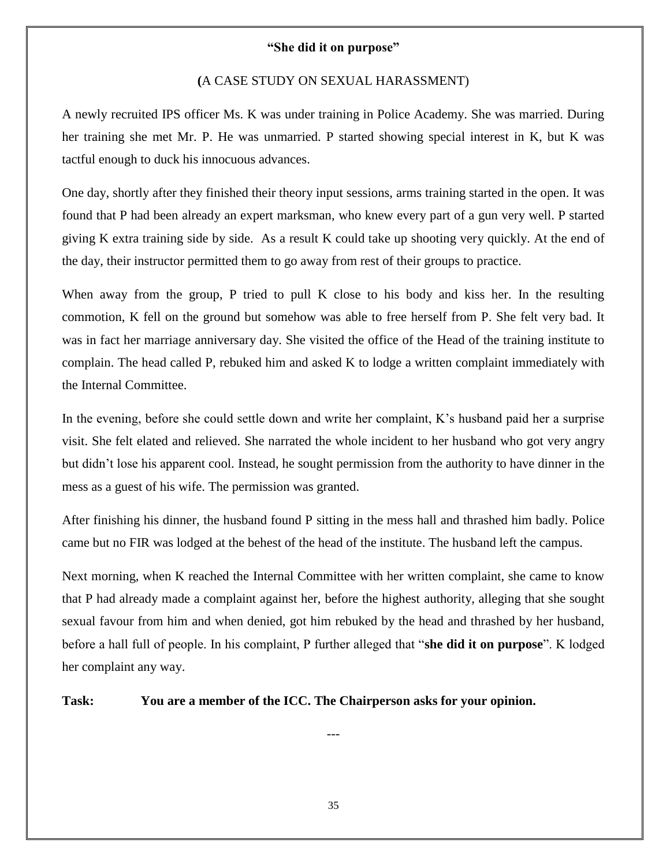### **"She did it on purpose"**

#### **(**A CASE STUDY ON SEXUAL HARASSMENT)

A newly recruited IPS officer Ms. K was under training in Police Academy. She was married. During her training she met Mr. P. He was unmarried. P started showing special interest in K, but K was tactful enough to duck his innocuous advances.

One day, shortly after they finished their theory input sessions, arms training started in the open. It was found that P had been already an expert marksman, who knew every part of a gun very well. P started giving K extra training side by side. As a result K could take up shooting very quickly. At the end of the day, their instructor permitted them to go away from rest of their groups to practice.

When away from the group, P tried to pull K close to his body and kiss her. In the resulting commotion, K fell on the ground but somehow was able to free herself from P. She felt very bad. It was in fact her marriage anniversary day. She visited the office of the Head of the training institute to complain. The head called P, rebuked him and asked K to lodge a written complaint immediately with the Internal Committee.

In the evening, before she could settle down and write her complaint, K's husband paid her a surprise visit. She felt elated and relieved. She narrated the whole incident to her husband who got very angry but didn't lose his apparent cool. Instead, he sought permission from the authority to have dinner in the mess as a guest of his wife. The permission was granted.

After finishing his dinner, the husband found P sitting in the mess hall and thrashed him badly. Police came but no FIR was lodged at the behest of the head of the institute. The husband left the campus.

Next morning, when K reached the Internal Committee with her written complaint, she came to know that P had already made a complaint against her, before the highest authority, alleging that she sought sexual favour from him and when denied, got him rebuked by the head and thrashed by her husband, before a hall full of people. In his complaint, P further alleged that "she did it on purpose". K lodged her complaint any way.

**Task: You are a member of the ICC. The Chairperson asks for your opinion.**

---

35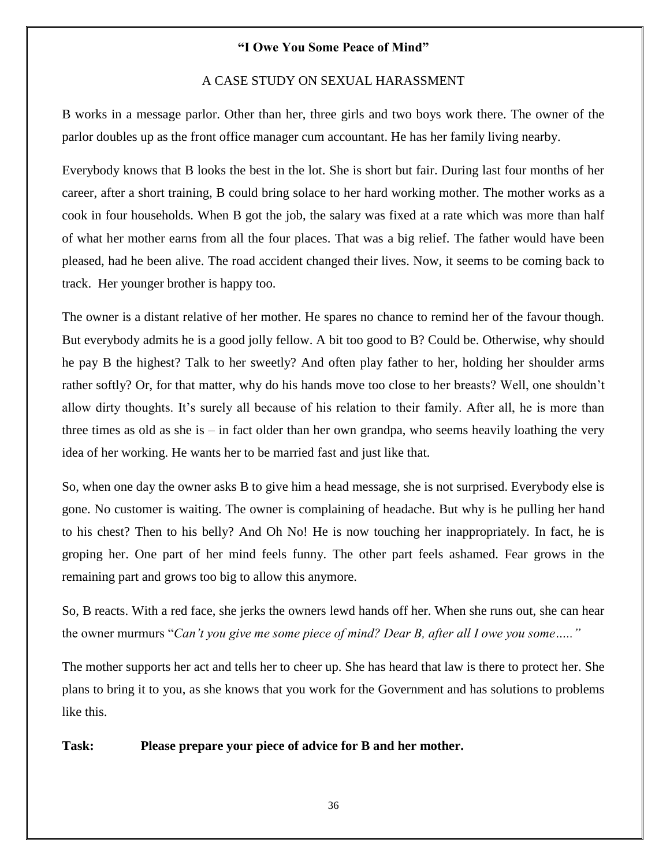#### **"I Owe You Some Peace of Mind"**

#### A CASE STUDY ON SEXUAL HARASSMENT

B works in a message parlor. Other than her, three girls and two boys work there. The owner of the parlor doubles up as the front office manager cum accountant. He has her family living nearby.

Everybody knows that B looks the best in the lot. She is short but fair. During last four months of her career, after a short training, B could bring solace to her hard working mother. The mother works as a cook in four households. When B got the job, the salary was fixed at a rate which was more than half of what her mother earns from all the four places. That was a big relief. The father would have been pleased, had he been alive. The road accident changed their lives. Now, it seems to be coming back to track. Her younger brother is happy too.

The owner is a distant relative of her mother. He spares no chance to remind her of the favour though. But everybody admits he is a good jolly fellow. A bit too good to B? Could be. Otherwise, why should he pay B the highest? Talk to her sweetly? And often play father to her, holding her shoulder arms rather softly? Or, for that matter, why do his hands move too close to her breasts? Well, one shouldn't allow dirty thoughts. It's surely all because of his relation to their family. After all, he is more than three times as old as she is  $-$  in fact older than her own grandpa, who seems heavily loathing the very idea of her working. He wants her to be married fast and just like that.

So, when one day the owner asks B to give him a head message, she is not surprised. Everybody else is gone. No customer is waiting. The owner is complaining of headache. But why is he pulling her hand to his chest? Then to his belly? And Oh No! He is now touching her inappropriately. In fact, he is groping her. One part of her mind feels funny. The other part feels ashamed. Fear grows in the remaining part and grows too big to allow this anymore.

So, B reacts. With a red face, she jerks the owners lewd hands off her. When she runs out, she can hear the owner murmurs "Can't you give me some piece of mind? Dear B, after all I owe you some....."

The mother supports her act and tells her to cheer up. She has heard that law is there to protect her. She plans to bring it to you, as she knows that you work for the Government and has solutions to problems like this.

#### **Task: Please prepare your piece of advice for B and her mother.**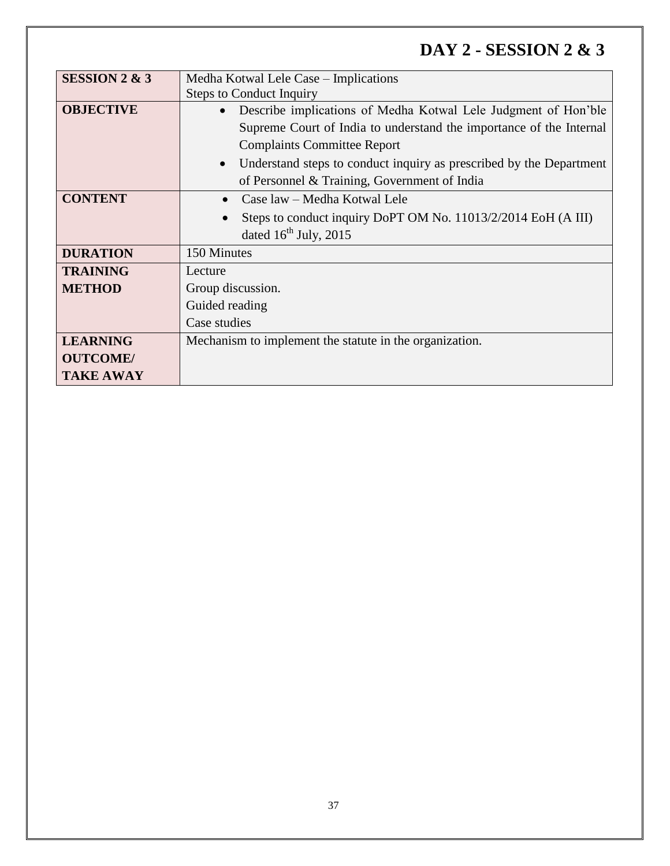# **DAY 2 - SESSION 2 & 3**

| <b>SESSION 2 &amp; 3</b> | Medha Kotwal Lele Case – Implications                                            |  |
|--------------------------|----------------------------------------------------------------------------------|--|
|                          | <b>Steps to Conduct Inquiry</b>                                                  |  |
| <b>OBJECTIVE</b>         | Describe implications of Medha Kotwal Lele Judgment of Hon'ble<br>$\bullet$      |  |
|                          | Supreme Court of India to understand the importance of the Internal              |  |
|                          | <b>Complaints Committee Report</b>                                               |  |
|                          | Understand steps to conduct inquiry as prescribed by the Department<br>$\bullet$ |  |
|                          | of Personnel & Training, Government of India                                     |  |
| <b>CONTENT</b>           | Case law – Medha Kotwal Lele                                                     |  |
|                          | Steps to conduct inquiry DoPT OM No. 11013/2/2014 EoH (A III)                    |  |
|                          | dated $16^{th}$ July, 2015                                                       |  |
| <b>DURATION</b>          | 150 Minutes                                                                      |  |
| <b>TRAINING</b>          | Lecture                                                                          |  |
| <b>METHOD</b>            | Group discussion.<br>Guided reading                                              |  |
|                          |                                                                                  |  |
|                          | Case studies                                                                     |  |
| <b>LEARNING</b>          | Mechanism to implement the statute in the organization.                          |  |
| <b>OUTCOME/</b>          |                                                                                  |  |
| <b>TAKE AWAY</b>         |                                                                                  |  |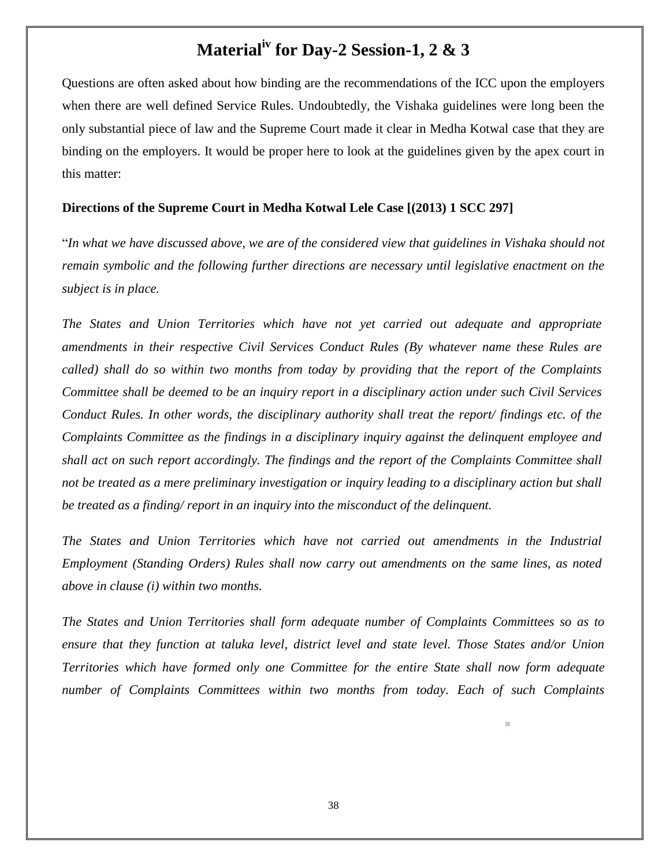# **Materialiv for Day-2 Session-1, 2 & 3**

Questions are often asked about how binding are the recommendations of the ICC upon the employers when there are well defined Service Rules. Undoubtedly, the Vishaka guidelines were long been the only substantial piece of law and the Supreme Court made it clear in Medha Kotwal case that they are binding on the employers. It would be proper here to look at the guidelines given by the apex court in this matter:

#### **Directions of the Supreme Court in Medha Kotwal Lele Case [(2013) 1 SCC 297]**

―*In what we have discussed above, we are of the considered view that guidelines in Vishaka should not remain symbolic and the following further directions are necessary until legislative enactment on the subject is in place.*

*The States and Union Territories which have not yet carried out adequate and appropriate amendments in their respective Civil Services Conduct Rules (By whatever name these Rules are called) shall do so within two months from today by providing that the report of the Complaints Committee shall be deemed to be an inquiry report in a disciplinary action under such Civil Services Conduct Rules. In other words, the disciplinary authority shall treat the report/ findings etc. of the Complaints Committee as the findings in a disciplinary inquiry against the delinquent employee and shall act on such report accordingly. The findings and the report of the Complaints Committee shall not be treated as a mere preliminary investigation or inquiry leading to a disciplinary action but shall be treated as a finding/ report in an inquiry into the misconduct of the delinquent.*

*The States and Union Territories which have not carried out amendments in the Industrial Employment (Standing Orders) Rules shall now carry out amendments on the same lines, as noted above in clause (i) within two months.*

*The States and Union Territories shall form adequate number of Complaints Committees so as to ensure that they function at taluka level, district level and state level. Those States and/or Union Territories which have formed only one Committee for the entire State shall now form adequate number of Complaints Committees within two months from today. Each of such Complaints*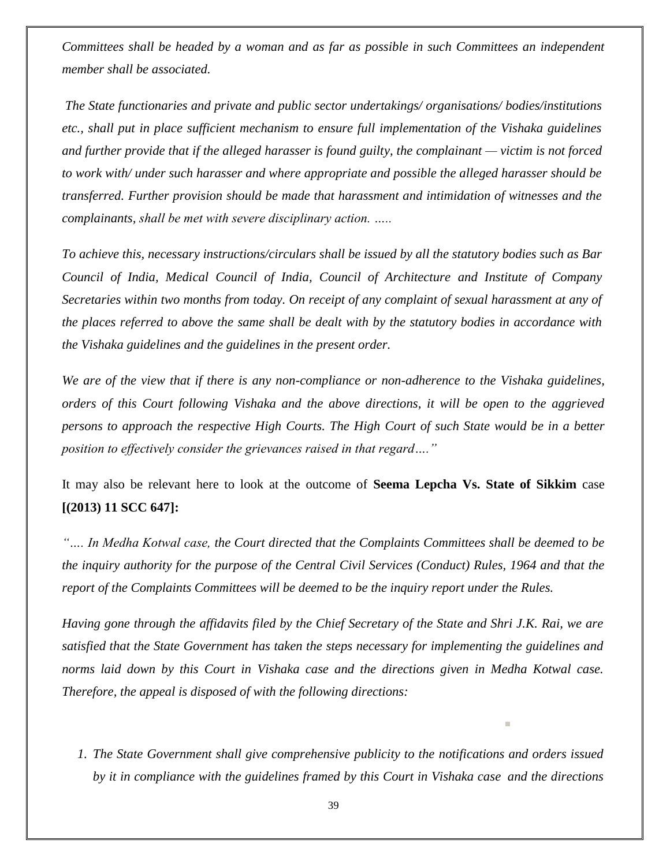*Committees shall be headed by a woman and as far as possible in such Committees an independent member shall be associated.*

*The State functionaries and private and public sector undertakings/ organisations/ bodies/institutions etc., shall put in place sufficient mechanism to ensure full implementation of the Vishaka guidelines and further provide that if the alleged harasser is found guilty, the complainant — victim is not forced to work with/ under such harasser and where appropriate and possible the alleged harasser should be transferred. Further provision should be made that harassment and intimidation of witnesses and the complainants, shall be met with severe disciplinary action. …..*

*To achieve this, necessary instructions/circulars shall be issued by all the statutory bodies such as Bar Council of India, Medical Council of India, Council of Architecture and Institute of Company Secretaries within two months from today. On receipt of any complaint of sexual harassment at any of the places referred to above the same shall be dealt with by the statutory bodies in accordance with the Vishaka guidelines and the guidelines in the present order.*

*We are of the view that if there is any non-compliance or non-adherence to the Vishaka guidelines, orders of this Court following Vishaka and the above directions, it will be open to the aggrieved persons to approach the respective High Courts. The High Court of such State would be in a better position to effectively consider the grievances raised in that regard…."*

It may also be relevant here to look at the outcome of **Seema Lepcha Vs. State of Sikkim** case **[(2013) 11 SCC 647]:**

*"…. In Medha Kotwal case, the Court directed that the Complaints Committees shall be deemed to be the inquiry authority for the purpose of the Central Civil Services (Conduct) Rules, 1964 and that the report of the Complaints Committees will be deemed to be the inquiry report under the Rules.* 

*Having gone through the affidavits filed by the Chief Secretary of the State and Shri J.K. Rai, we are satisfied that the State Government has taken the steps necessary for implementing the guidelines and norms laid down by this Court in Vishaka case and the directions given in Medha Kotwal case. Therefore, the appeal is disposed of with the following directions:*

*1. The State Government shall give comprehensive publicity to the notifications and orders issued by it in compliance with the guidelines framed by this Court in Vishaka case and the directions*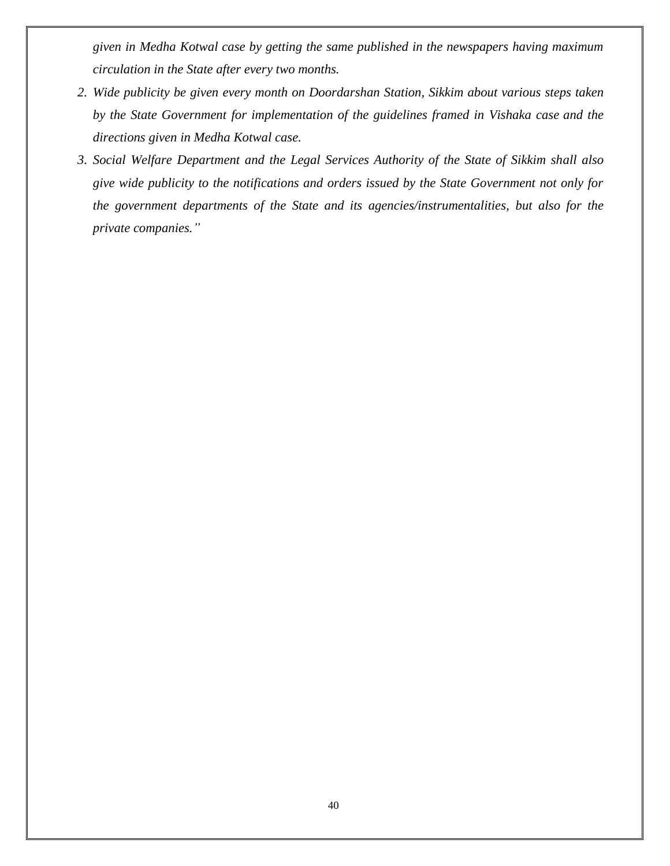*given in Medha Kotwal case by getting the same published in the newspapers having maximum circulation in the State after every two months.*

- *2. Wide publicity be given every month on Doordarshan Station, Sikkim about various steps taken by the State Government for implementation of the guidelines framed in Vishaka case and the directions given in Medha Kotwal case.*
- *3. Social Welfare Department and the Legal Services Authority of the State of Sikkim shall also give wide publicity to the notifications and orders issued by the State Government not only for the government departments of the State and its agencies/instrumentalities, but also for the private companies."*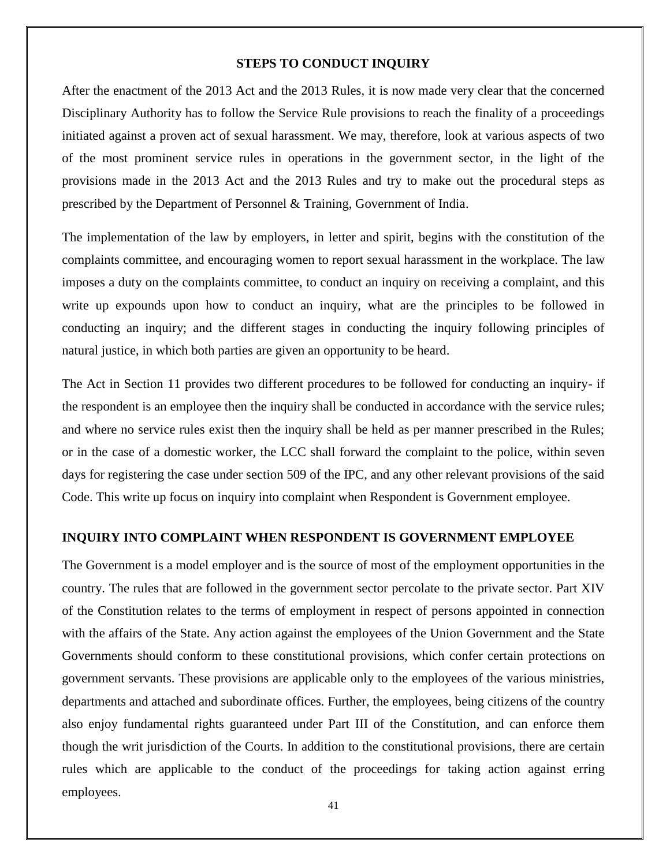#### **STEPS TO CONDUCT INQUIRY**

After the enactment of the 2013 Act and the 2013 Rules, it is now made very clear that the concerned Disciplinary Authority has to follow the Service Rule provisions to reach the finality of a proceedings initiated against a proven act of sexual harassment. We may, therefore, look at various aspects of two of the most prominent service rules in operations in the government sector, in the light of the provisions made in the 2013 Act and the 2013 Rules and try to make out the procedural steps as prescribed by the Department of Personnel & Training, Government of India.

The implementation of the law by employers, in letter and spirit, begins with the constitution of the complaints committee, and encouraging women to report sexual harassment in the workplace. The law imposes a duty on the complaints committee, to conduct an inquiry on receiving a complaint, and this write up expounds upon how to conduct an inquiry, what are the principles to be followed in conducting an inquiry; and the different stages in conducting the inquiry following principles of natural justice, in which both parties are given an opportunity to be heard.

The Act in Section 11 provides two different procedures to be followed for conducting an inquiry- if the respondent is an employee then the inquiry shall be conducted in accordance with the service rules; and where no service rules exist then the inquiry shall be held as per manner prescribed in the Rules; or in the case of a domestic worker, the LCC shall forward the complaint to the police, within seven days for registering the case under section 509 of the IPC, and any other relevant provisions of the said Code. This write up focus on inquiry into complaint when Respondent is Government employee.

#### **INQUIRY INTO COMPLAINT WHEN RESPONDENT IS GOVERNMENT EMPLOYEE**

The Government is a model employer and is the source of most of the employment opportunities in the country. The rules that are followed in the government sector percolate to the private sector. Part XIV of the Constitution relates to the terms of employment in respect of persons appointed in connection with the affairs of the State. Any action against the employees of the Union Government and the State Governments should conform to these constitutional provisions, which confer certain protections on government servants. These provisions are applicable only to the employees of the various ministries, departments and attached and subordinate offices. Further, the employees, being citizens of the country also enjoy fundamental rights guaranteed under Part III of the Constitution, and can enforce them though the writ jurisdiction of the Courts. In addition to the constitutional provisions, there are certain rules which are applicable to the conduct of the proceedings for taking action against erring employees.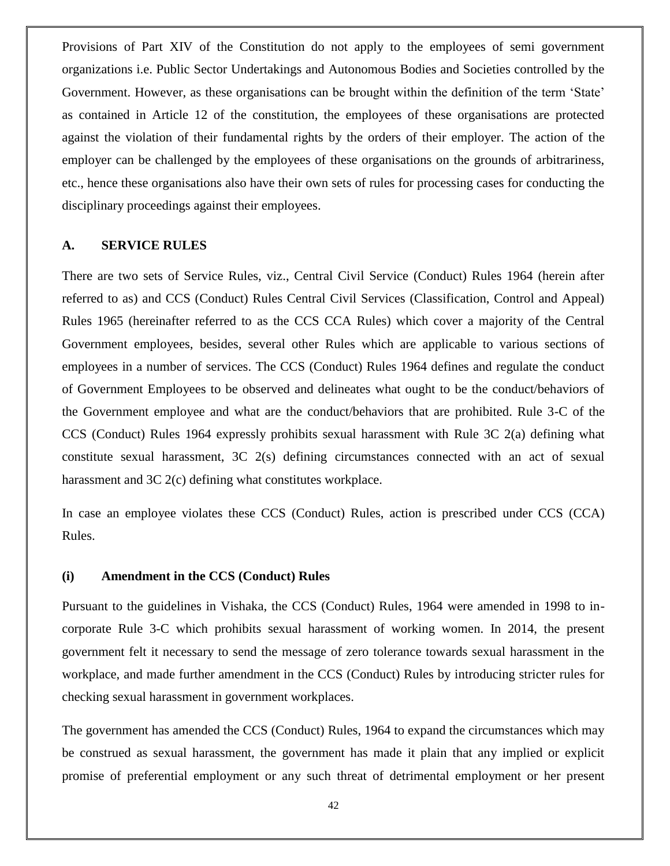Provisions of Part XIV of the Constitution do not apply to the employees of semi government organizations i.e. Public Sector Undertakings and Autonomous Bodies and Societies controlled by the Government. However, as these organisations can be brought within the definition of the term 'State' as contained in Article 12 of the constitution, the employees of these organisations are protected against the violation of their fundamental rights by the orders of their employer. The action of the employer can be challenged by the employees of these organisations on the grounds of arbitrariness, etc., hence these organisations also have their own sets of rules for processing cases for conducting the disciplinary proceedings against their employees.

#### **A. SERVICE RULES**

There are two sets of Service Rules, viz., Central Civil Service (Conduct) Rules 1964 (herein after referred to as) and CCS (Conduct) Rules Central Civil Services (Classification, Control and Appeal) Rules 1965 (hereinafter referred to as the CCS CCA Rules) which cover a majority of the Central Government employees, besides, several other Rules which are applicable to various sections of employees in a number of services. The CCS (Conduct) Rules 1964 defines and regulate the conduct of Government Employees to be observed and delineates what ought to be the conduct/behaviors of the Government employee and what are the conduct/behaviors that are prohibited. Rule 3-C of the CCS (Conduct) Rules 1964 expressly prohibits sexual harassment with Rule 3C 2(a) defining what constitute sexual harassment, 3C 2(s) defining circumstances connected with an act of sexual harassment and 3C 2(c) defining what constitutes workplace.

In case an employee violates these CCS (Conduct) Rules, action is prescribed under CCS (CCA) Rules.

#### **(i) Amendment in the CCS (Conduct) Rules**

Pursuant to the guidelines in Vishaka, the CCS (Conduct) Rules, 1964 were amended in 1998 to incorporate Rule 3-C which prohibits sexual harassment of working women. In 2014, the present government felt it necessary to send the message of zero tolerance towards sexual harassment in the workplace, and made further amendment in the CCS (Conduct) Rules by introducing stricter rules for checking sexual harassment in government workplaces.

The government has amended the CCS (Conduct) Rules, 1964 to expand the circumstances which may be construed as sexual harassment, the government has made it plain that any implied or explicit promise of preferential employment or any such threat of detrimental employment or her present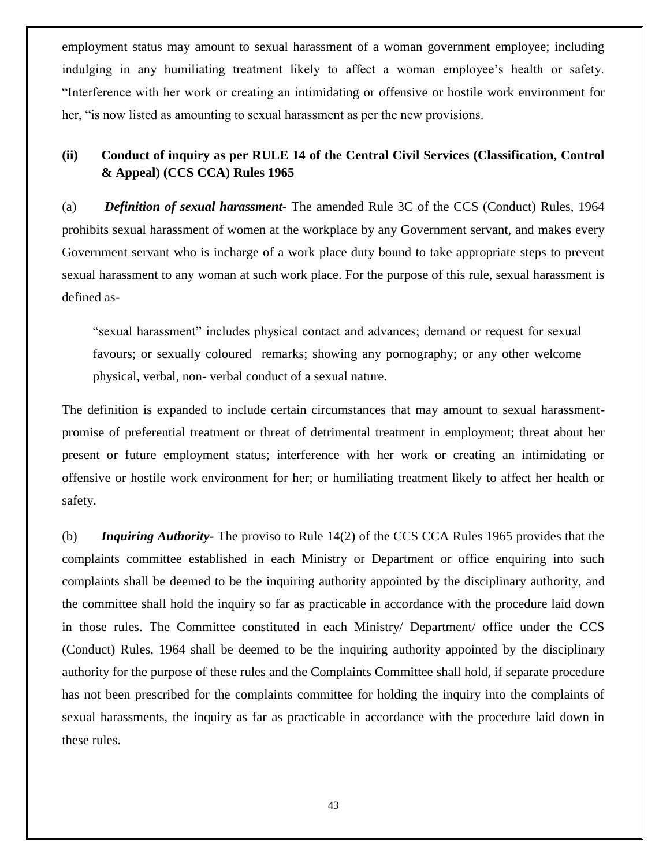employment status may amount to sexual harassment of a woman government employee; including indulging in any humiliating treatment likely to affect a woman employee's health or safety. ―Interference with her work or creating an intimidating or offensive or hostile work environment for her, "is now listed as amounting to sexual harassment as per the new provisions.

## **(ii) Conduct of inquiry as per RULE 14 of the Central Civil Services (Classification, Control & Appeal) (CCS CCA) Rules 1965**

(a) *Definition of sexual harassment-* The amended Rule 3C of the CCS (Conduct) Rules, 1964 prohibits sexual harassment of women at the workplace by any Government servant, and makes every Government servant who is incharge of a work place duty bound to take appropriate steps to prevent sexual harassment to any woman at such work place. For the purpose of this rule, sexual harassment is defined as-

―sexual harassment‖ includes physical contact and advances; demand or request for sexual favours; or sexually coloured remarks; showing any pornography; or any other welcome physical, verbal, non- verbal conduct of a sexual nature.

The definition is expanded to include certain circumstances that may amount to sexual harassmentpromise of preferential treatment or threat of detrimental treatment in employment; threat about her present or future employment status; interference with her work or creating an intimidating or offensive or hostile work environment for her; or humiliating treatment likely to affect her health or safety.

(b) *Inquiring Authority-* The proviso to Rule 14(2) of the CCS CCA Rules 1965 provides that the complaints committee established in each Ministry or Department or office enquiring into such complaints shall be deemed to be the inquiring authority appointed by the disciplinary authority, and the committee shall hold the inquiry so far as practicable in accordance with the procedure laid down in those rules. The Committee constituted in each Ministry/ Department/ office under the CCS (Conduct) Rules, 1964 shall be deemed to be the inquiring authority appointed by the disciplinary authority for the purpose of these rules and the Complaints Committee shall hold, if separate procedure has not been prescribed for the complaints committee for holding the inquiry into the complaints of sexual harassments, the inquiry as far as practicable in accordance with the procedure laid down in these rules.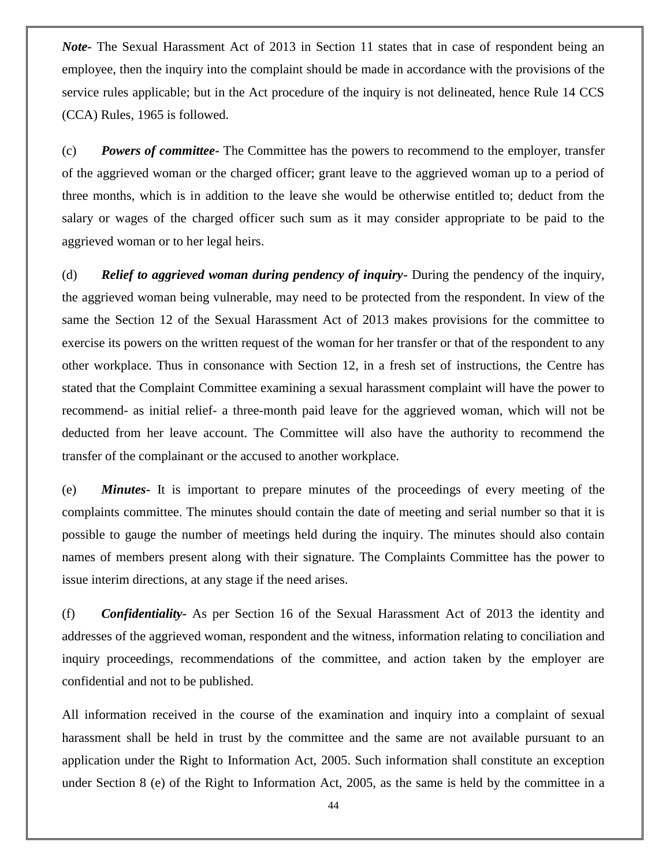*Note-* The Sexual Harassment Act of 2013 in Section 11 states that in case of respondent being an employee, then the inquiry into the complaint should be made in accordance with the provisions of the service rules applicable; but in the Act procedure of the inquiry is not delineated, hence Rule 14 CCS (CCA) Rules, 1965 is followed.

(c) *Powers of committee***-** The Committee has the powers to recommend to the employer, transfer of the aggrieved woman or the charged officer; grant leave to the aggrieved woman up to a period of three months, which is in addition to the leave she would be otherwise entitled to; deduct from the salary or wages of the charged officer such sum as it may consider appropriate to be paid to the aggrieved woman or to her legal heirs.

(d) *Relief to aggrieved woman during pendency of inquiry***-** During the pendency of the inquiry, the aggrieved woman being vulnerable, may need to be protected from the respondent. In view of the same the Section 12 of the Sexual Harassment Act of 2013 makes provisions for the committee to exercise its powers on the written request of the woman for her transfer or that of the respondent to any other workplace. Thus in consonance with Section 12, in a fresh set of instructions, the Centre has stated that the Complaint Committee examining a sexual harassment complaint will have the power to recommend- as initial relief- a three-month paid leave for the aggrieved woman, which will not be deducted from her leave account. The Committee will also have the authority to recommend the transfer of the complainant or the accused to another workplace.

(e) *Minutes***-** It is important to prepare minutes of the proceedings of every meeting of the complaints committee. The minutes should contain the date of meeting and serial number so that it is possible to gauge the number of meetings held during the inquiry. The minutes should also contain names of members present along with their signature. The Complaints Committee has the power to issue interim directions, at any stage if the need arises.

(f) *Confidentiality***-** As per Section 16 of the Sexual Harassment Act of 2013 the identity and addresses of the aggrieved woman, respondent and the witness, information relating to conciliation and inquiry proceedings, recommendations of the committee, and action taken by the employer are confidential and not to be published.

All information received in the course of the examination and inquiry into a complaint of sexual harassment shall be held in trust by the committee and the same are not available pursuant to an application under the Right to Information Act, 2005. Such information shall constitute an exception under Section 8 (e) of the Right to Information Act, 2005, as the same is held by the committee in a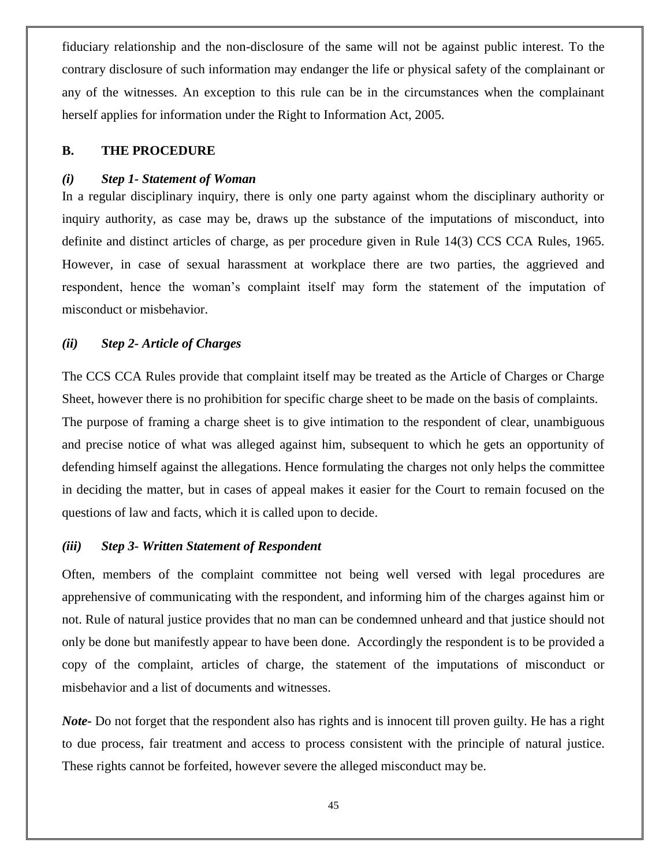fiduciary relationship and the non-disclosure of the same will not be against public interest. To the contrary disclosure of such information may endanger the life or physical safety of the complainant or any of the witnesses. An exception to this rule can be in the circumstances when the complainant herself applies for information under the Right to Information Act, 2005.

#### **B. THE PROCEDURE**

#### *(i) Step 1- Statement of Woman*

In a regular disciplinary inquiry, there is only one party against whom the disciplinary authority or inquiry authority, as case may be, draws up the substance of the imputations of misconduct, into definite and distinct articles of charge, as per procedure given in Rule 14(3) CCS CCA Rules, 1965. However, in case of sexual harassment at workplace there are two parties, the aggrieved and respondent, hence the woman's complaint itself may form the statement of the imputation of misconduct or misbehavior.

#### *(ii) Step 2- Article of Charges*

The CCS CCA Rules provide that complaint itself may be treated as the Article of Charges or Charge Sheet, however there is no prohibition for specific charge sheet to be made on the basis of complaints. The purpose of framing a charge sheet is to give intimation to the respondent of clear, unambiguous and precise notice of what was alleged against him, subsequent to which he gets an opportunity of defending himself against the allegations. Hence formulating the charges not only helps the committee in deciding the matter, but in cases of appeal makes it easier for the Court to remain focused on the questions of law and facts, which it is called upon to decide.

#### *(iii) Step 3- Written Statement of Respondent*

Often, members of the complaint committee not being well versed with legal procedures are apprehensive of communicating with the respondent, and informing him of the charges against him or not. Rule of natural justice provides that no man can be condemned unheard and that justice should not only be done but manifestly appear to have been done. Accordingly the respondent is to be provided a copy of the complaint, articles of charge, the statement of the imputations of misconduct or misbehavior and a list of documents and witnesses.

*Note-* Do not forget that the respondent also has rights and is innocent till proven guilty. He has a right to due process, fair treatment and access to process consistent with the principle of natural justice. These rights cannot be forfeited, however severe the alleged misconduct may be.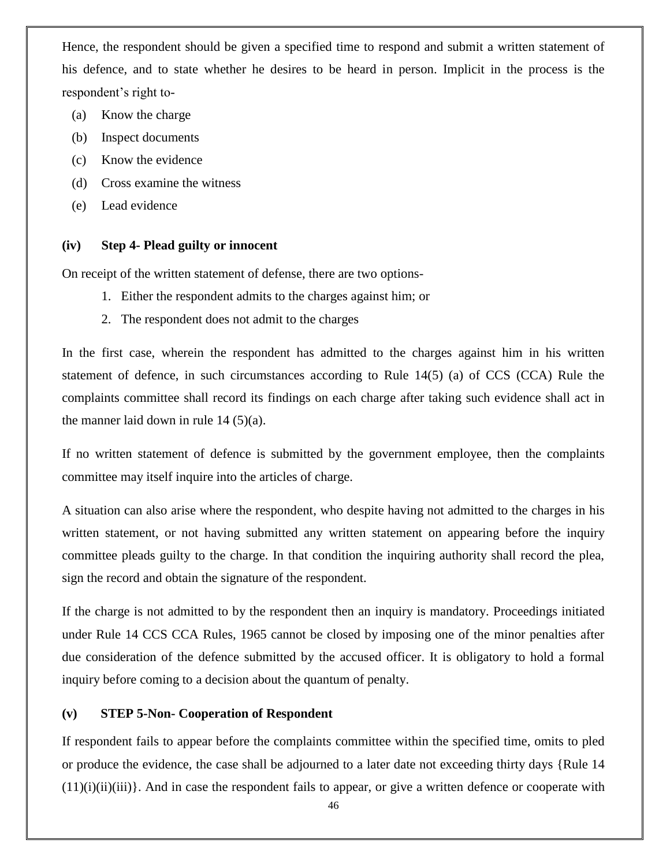Hence, the respondent should be given a specified time to respond and submit a written statement of his defence, and to state whether he desires to be heard in person. Implicit in the process is the respondent's right to-

- (a) Know the charge
- (b) Inspect documents
- (c) Know the evidence
- (d) Cross examine the witness
- (e) Lead evidence

#### **(iv) Step 4- Plead guilty or innocent**

On receipt of the written statement of defense, there are two options-

- 1. Either the respondent admits to the charges against him; or
- 2. The respondent does not admit to the charges

In the first case, wherein the respondent has admitted to the charges against him in his written statement of defence, in such circumstances according to Rule 14(5) (a) of CCS (CCA) Rule the complaints committee shall record its findings on each charge after taking such evidence shall act in the manner laid down in rule  $14 (5)(a)$ .

If no written statement of defence is submitted by the government employee, then the complaints committee may itself inquire into the articles of charge.

A situation can also arise where the respondent, who despite having not admitted to the charges in his written statement, or not having submitted any written statement on appearing before the inquiry committee pleads guilty to the charge. In that condition the inquiring authority shall record the plea, sign the record and obtain the signature of the respondent.

If the charge is not admitted to by the respondent then an inquiry is mandatory. Proceedings initiated under Rule 14 CCS CCA Rules, 1965 cannot be closed by imposing one of the minor penalties after due consideration of the defence submitted by the accused officer. It is obligatory to hold a formal inquiry before coming to a decision about the quantum of penalty.

#### **(v) STEP 5-Non- Cooperation of Respondent**

If respondent fails to appear before the complaints committee within the specified time, omits to pled or produce the evidence, the case shall be adjourned to a later date not exceeding thirty days {Rule 14  $(11)(i)(ii)(iii)$ . And in case the respondent fails to appear, or give a written defence or cooperate with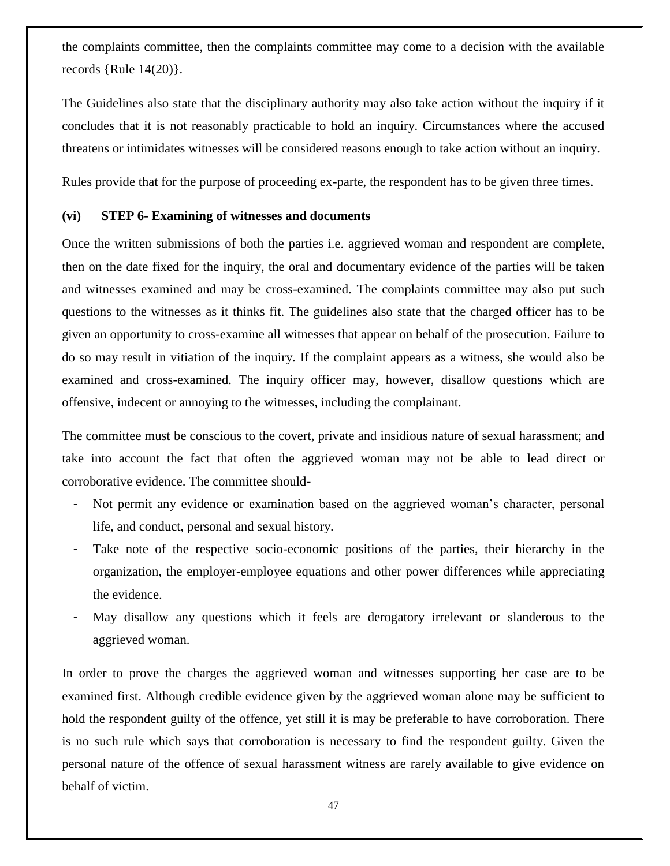the complaints committee, then the complaints committee may come to a decision with the available records  ${Rule 14(20)}$ .

The Guidelines also state that the disciplinary authority may also take action without the inquiry if it concludes that it is not reasonably practicable to hold an inquiry. Circumstances where the accused threatens or intimidates witnesses will be considered reasons enough to take action without an inquiry.

Rules provide that for the purpose of proceeding ex-parte, the respondent has to be given three times.

#### **(vi) STEP 6- Examining of witnesses and documents**

Once the written submissions of both the parties i.e. aggrieved woman and respondent are complete, then on the date fixed for the inquiry, the oral and documentary evidence of the parties will be taken and witnesses examined and may be cross-examined. The complaints committee may also put such questions to the witnesses as it thinks fit. The guidelines also state that the charged officer has to be given an opportunity to cross-examine all witnesses that appear on behalf of the prosecution. Failure to do so may result in vitiation of the inquiry. If the complaint appears as a witness, she would also be examined and cross-examined. The inquiry officer may, however, disallow questions which are offensive, indecent or annoying to the witnesses, including the complainant.

The committee must be conscious to the covert, private and insidious nature of sexual harassment; and take into account the fact that often the aggrieved woman may not be able to lead direct or corroborative evidence. The committee should-

- Not permit any evidence or examination based on the aggrieved woman's character, personal life, and conduct, personal and sexual history.
- Take note of the respective socio-economic positions of the parties, their hierarchy in the organization, the employer-employee equations and other power differences while appreciating the evidence.
- May disallow any questions which it feels are derogatory irrelevant or slanderous to the aggrieved woman.

In order to prove the charges the aggrieved woman and witnesses supporting her case are to be examined first. Although credible evidence given by the aggrieved woman alone may be sufficient to hold the respondent guilty of the offence, yet still it is may be preferable to have corroboration. There is no such rule which says that corroboration is necessary to find the respondent guilty. Given the personal nature of the offence of sexual harassment witness are rarely available to give evidence on behalf of victim.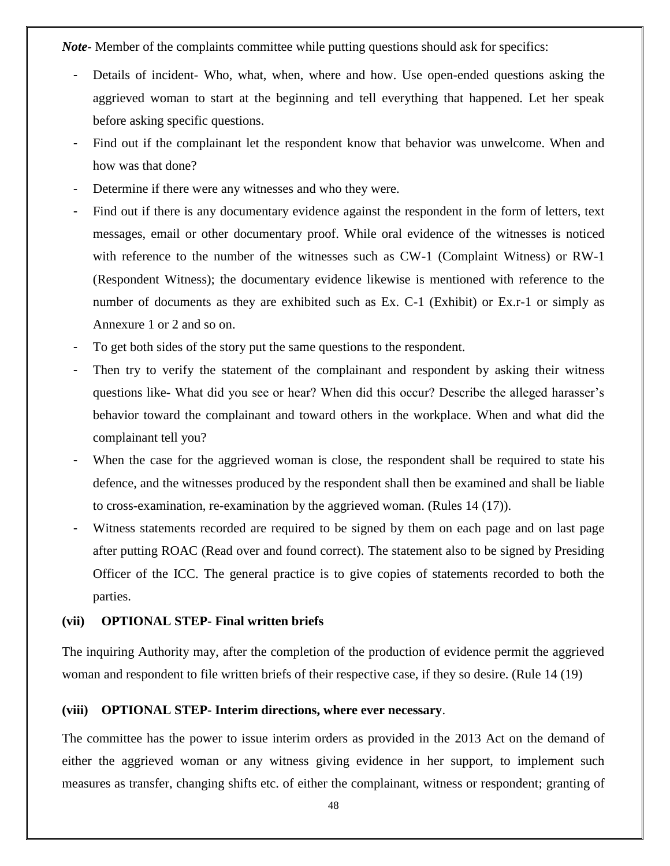*Note*- Member of the complaints committee while putting questions should ask for specifics:

- Details of incident- Who, what, when, where and how. Use open-ended questions asking the aggrieved woman to start at the beginning and tell everything that happened. Let her speak before asking specific questions.
- Find out if the complainant let the respondent know that behavior was unwelcome. When and how was that done?
- Determine if there were any witnesses and who they were.
- Find out if there is any documentary evidence against the respondent in the form of letters, text messages, email or other documentary proof. While oral evidence of the witnesses is noticed with reference to the number of the witnesses such as CW-1 (Complaint Witness) or RW-1 (Respondent Witness); the documentary evidence likewise is mentioned with reference to the number of documents as they are exhibited such as Ex. C-1 (Exhibit) or Ex.r-1 or simply as Annexure 1 or 2 and so on.
- To get both sides of the story put the same questions to the respondent.
- Then try to verify the statement of the complainant and respondent by asking their witness questions like- What did you see or hear? When did this occur? Describe the alleged harasser's behavior toward the complainant and toward others in the workplace. When and what did the complainant tell you?
- When the case for the aggrieved woman is close, the respondent shall be required to state his defence, and the witnesses produced by the respondent shall then be examined and shall be liable to cross-examination, re-examination by the aggrieved woman. (Rules 14 (17)).
- Witness statements recorded are required to be signed by them on each page and on last page after putting ROAC (Read over and found correct). The statement also to be signed by Presiding Officer of the ICC. The general practice is to give copies of statements recorded to both the parties.

#### **(vii) OPTIONAL STEP- Final written briefs**

The inquiring Authority may, after the completion of the production of evidence permit the aggrieved woman and respondent to file written briefs of their respective case, if they so desire. (Rule 14 (19)

### **(viii) OPTIONAL STEP- Interim directions, where ever necessary**.

The committee has the power to issue interim orders as provided in the 2013 Act on the demand of either the aggrieved woman or any witness giving evidence in her support, to implement such measures as transfer, changing shifts etc. of either the complainant, witness or respondent; granting of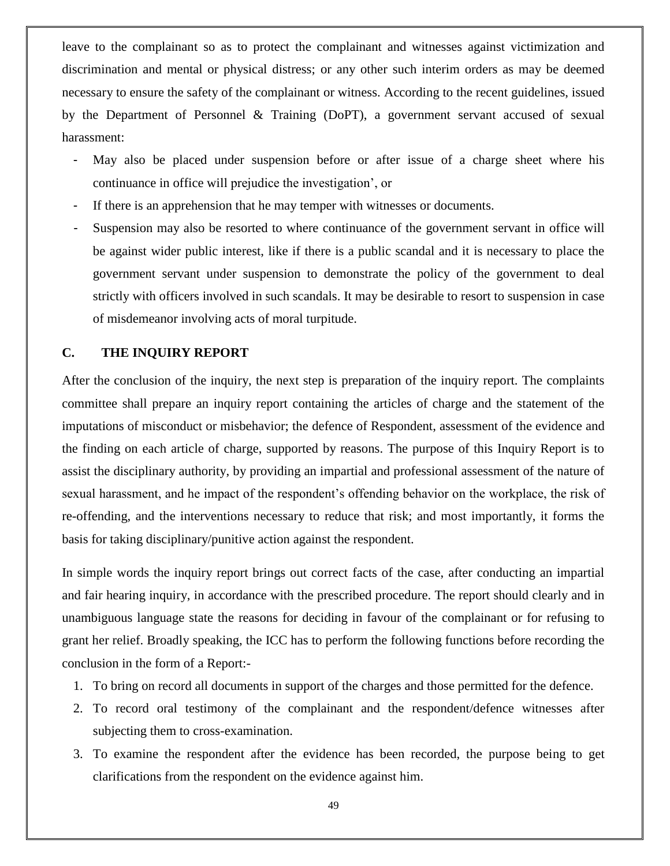leave to the complainant so as to protect the complainant and witnesses against victimization and discrimination and mental or physical distress; or any other such interim orders as may be deemed necessary to ensure the safety of the complainant or witness. According to the recent guidelines, issued by the Department of Personnel & Training (DoPT), a government servant accused of sexual harassment:

- May also be placed under suspension before or after issue of a charge sheet where his continuance in office will prejudice the investigation', or
- If there is an apprehension that he may temper with witnesses or documents.
- Suspension may also be resorted to where continuance of the government servant in office will be against wider public interest, like if there is a public scandal and it is necessary to place the government servant under suspension to demonstrate the policy of the government to deal strictly with officers involved in such scandals. It may be desirable to resort to suspension in case of misdemeanor involving acts of moral turpitude.

#### **C. THE INQUIRY REPORT**

After the conclusion of the inquiry, the next step is preparation of the inquiry report. The complaints committee shall prepare an inquiry report containing the articles of charge and the statement of the imputations of misconduct or misbehavior; the defence of Respondent, assessment of the evidence and the finding on each article of charge, supported by reasons. The purpose of this Inquiry Report is to assist the disciplinary authority, by providing an impartial and professional assessment of the nature of sexual harassment, and he impact of the respondent's offending behavior on the workplace, the risk of re-offending, and the interventions necessary to reduce that risk; and most importantly, it forms the basis for taking disciplinary/punitive action against the respondent.

In simple words the inquiry report brings out correct facts of the case, after conducting an impartial and fair hearing inquiry, in accordance with the prescribed procedure. The report should clearly and in unambiguous language state the reasons for deciding in favour of the complainant or for refusing to grant her relief. Broadly speaking, the ICC has to perform the following functions before recording the conclusion in the form of a Report:-

- 1. To bring on record all documents in support of the charges and those permitted for the defence.
- 2. To record oral testimony of the complainant and the respondent/defence witnesses after subjecting them to cross-examination.
- 3. To examine the respondent after the evidence has been recorded, the purpose being to get clarifications from the respondent on the evidence against him.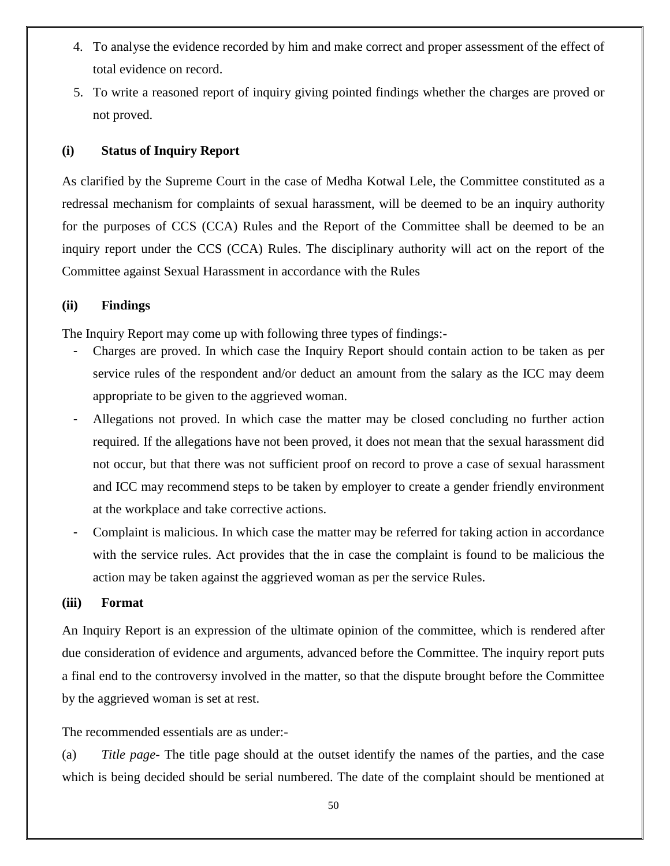- 4. To analyse the evidence recorded by him and make correct and proper assessment of the effect of total evidence on record.
- 5. To write a reasoned report of inquiry giving pointed findings whether the charges are proved or not proved.

#### **(i) Status of Inquiry Report**

As clarified by the Supreme Court in the case of Medha Kotwal Lele, the Committee constituted as a redressal mechanism for complaints of sexual harassment, will be deemed to be an inquiry authority for the purposes of CCS (CCA) Rules and the Report of the Committee shall be deemed to be an inquiry report under the CCS (CCA) Rules. The disciplinary authority will act on the report of the Committee against Sexual Harassment in accordance with the Rules

#### **(ii) Findings**

The Inquiry Report may come up with following three types of findings:-

- Charges are proved. In which case the Inquiry Report should contain action to be taken as per service rules of the respondent and/or deduct an amount from the salary as the ICC may deem appropriate to be given to the aggrieved woman.
- Allegations not proved. In which case the matter may be closed concluding no further action required. If the allegations have not been proved, it does not mean that the sexual harassment did not occur, but that there was not sufficient proof on record to prove a case of sexual harassment and ICC may recommend steps to be taken by employer to create a gender friendly environment at the workplace and take corrective actions.
- Complaint is malicious. In which case the matter may be referred for taking action in accordance with the service rules. Act provides that the in case the complaint is found to be malicious the action may be taken against the aggrieved woman as per the service Rules.

#### **(iii) Format**

An Inquiry Report is an expression of the ultimate opinion of the committee, which is rendered after due consideration of evidence and arguments, advanced before the Committee. The inquiry report puts a final end to the controversy involved in the matter, so that the dispute brought before the Committee by the aggrieved woman is set at rest.

The recommended essentials are as under:-

(a) *Title page*- The title page should at the outset identify the names of the parties, and the case which is being decided should be serial numbered. The date of the complaint should be mentioned at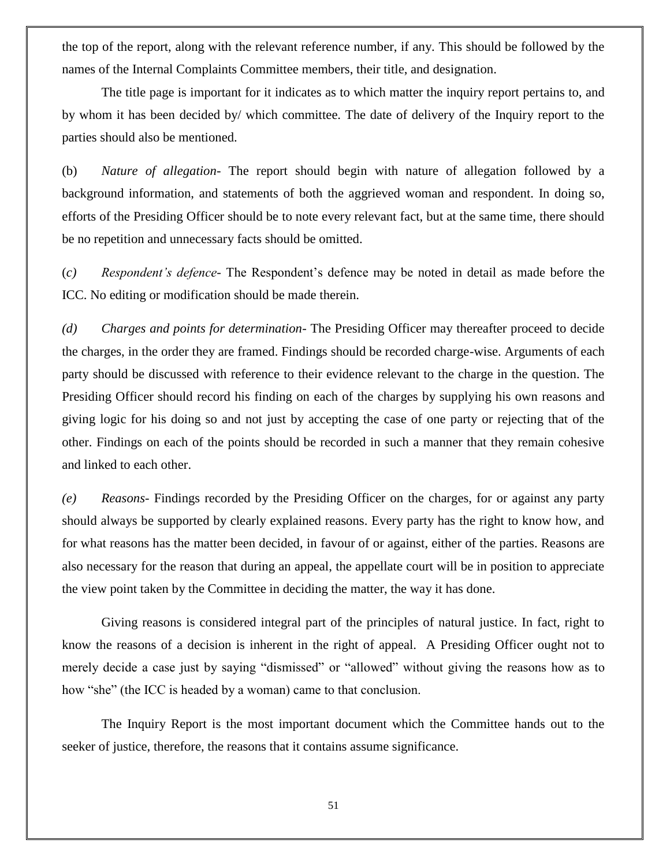the top of the report, along with the relevant reference number, if any. This should be followed by the names of the Internal Complaints Committee members, their title, and designation.

The title page is important for it indicates as to which matter the inquiry report pertains to, and by whom it has been decided by/ which committee. The date of delivery of the Inquiry report to the parties should also be mentioned.

(b) *Nature of allegation-* The report should begin with nature of allegation followed by a background information, and statements of both the aggrieved woman and respondent. In doing so, efforts of the Presiding Officer should be to note every relevant fact, but at the same time, there should be no repetition and unnecessary facts should be omitted.

(*c) Respondent"s defence*- The Respondent's defence may be noted in detail as made before the ICC. No editing or modification should be made therein.

*(d) Charges and points for determination*- The Presiding Officer may thereafter proceed to decide the charges, in the order they are framed. Findings should be recorded charge-wise. Arguments of each party should be discussed with reference to their evidence relevant to the charge in the question. The Presiding Officer should record his finding on each of the charges by supplying his own reasons and giving logic for his doing so and not just by accepting the case of one party or rejecting that of the other. Findings on each of the points should be recorded in such a manner that they remain cohesive and linked to each other.

*(e) Reasons-* Findings recorded by the Presiding Officer on the charges, for or against any party should always be supported by clearly explained reasons. Every party has the right to know how, and for what reasons has the matter been decided, in favour of or against, either of the parties. Reasons are also necessary for the reason that during an appeal, the appellate court will be in position to appreciate the view point taken by the Committee in deciding the matter, the way it has done.

Giving reasons is considered integral part of the principles of natural justice. In fact, right to know the reasons of a decision is inherent in the right of appeal. A Presiding Officer ought not to merely decide a case just by saying "dismissed" or "allowed" without giving the reasons how as to how "she" (the ICC is headed by a woman) came to that conclusion.

The Inquiry Report is the most important document which the Committee hands out to the seeker of justice, therefore, the reasons that it contains assume significance.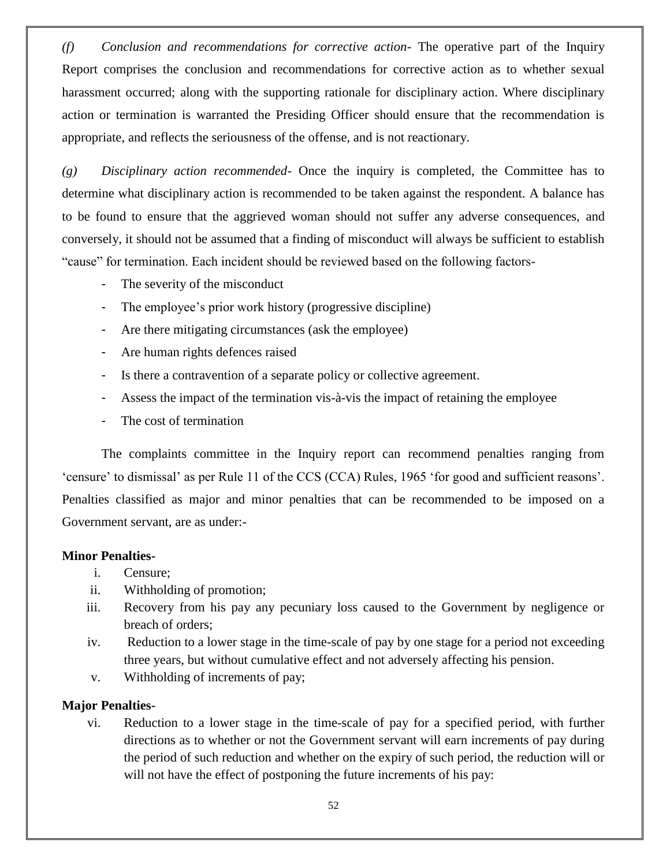*(f) Conclusion and recommendations for corrective action-* The operative part of the Inquiry Report comprises the conclusion and recommendations for corrective action as to whether sexual harassment occurred; along with the supporting rationale for disciplinary action. Where disciplinary action or termination is warranted the Presiding Officer should ensure that the recommendation is appropriate, and reflects the seriousness of the offense, and is not reactionary.

*(g) Disciplinary action recommended*- Once the inquiry is completed, the Committee has to determine what disciplinary action is recommended to be taken against the respondent. A balance has to be found to ensure that the aggrieved woman should not suffer any adverse consequences, and conversely, it should not be assumed that a finding of misconduct will always be sufficient to establish "cause" for termination. Each incident should be reviewed based on the following factors-

- The severity of the misconduct
- The employee's prior work history (progressive discipline)
- Are there mitigating circumstances (ask the employee)
- Are human rights defences raised
- Is there a contravention of a separate policy or collective agreement.
- Assess the impact of the termination vis-à-vis the impact of retaining the employee
- The cost of termination

The complaints committee in the Inquiry report can recommend penalties ranging from ‗censure' to dismissal' as per Rule 11 of the CCS (CCA) Rules, 1965 ‗for good and sufficient reasons'. Penalties classified as major and minor penalties that can be recommended to be imposed on a Government servant, are as under:-

### **Minor Penalties-**

- i. Censure;
- ii. Withholding of promotion;
- iii. Recovery from his pay any pecuniary loss caused to the Government by negligence or breach of orders;
- iv. Reduction to a lower stage in the time-scale of pay by one stage for a period not exceeding three years, but without cumulative effect and not adversely affecting his pension.
- v. Withholding of increments of pay;

#### **Major Penalties-**

vi. Reduction to a lower stage in the time-scale of pay for a specified period, with further directions as to whether or not the Government servant will earn increments of pay during the period of such reduction and whether on the expiry of such period, the reduction will or will not have the effect of postponing the future increments of his pay: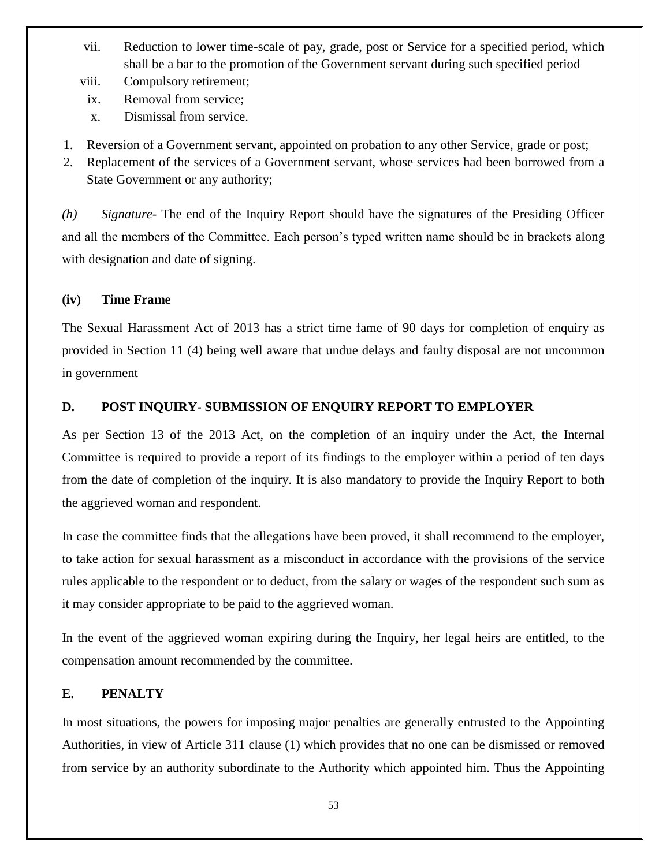- vii. Reduction to lower time-scale of pay, grade, post or Service for a specified period, which shall be a bar to the promotion of the Government servant during such specified period
- viii. Compulsory retirement;
- ix. Removal from service;
- x. Dismissal from service.
- 1. Reversion of a Government servant, appointed on probation to any other Service, grade or post;
- 2. Replacement of the services of a Government servant, whose services had been borrowed from a State Government or any authority;

*(h) Signature-* The end of the Inquiry Report should have the signatures of the Presiding Officer and all the members of the Committee. Each person's typed written name should be in brackets along with designation and date of signing.

### **(iv) Time Frame**

The Sexual Harassment Act of 2013 has a strict time fame of 90 days for completion of enquiry as provided in Section 11 (4) being well aware that undue delays and faulty disposal are not uncommon in government

### **D. POST INQUIRY- SUBMISSION OF ENQUIRY REPORT TO EMPLOYER**

As per Section 13 of the 2013 Act, on the completion of an inquiry under the Act, the Internal Committee is required to provide a report of its findings to the employer within a period of ten days from the date of completion of the inquiry. It is also mandatory to provide the Inquiry Report to both the aggrieved woman and respondent.

In case the committee finds that the allegations have been proved, it shall recommend to the employer, to take action for sexual harassment as a misconduct in accordance with the provisions of the service rules applicable to the respondent or to deduct, from the salary or wages of the respondent such sum as it may consider appropriate to be paid to the aggrieved woman.

In the event of the aggrieved woman expiring during the Inquiry, her legal heirs are entitled, to the compensation amount recommended by the committee.

### **E. PENALTY**

In most situations, the powers for imposing major penalties are generally entrusted to the Appointing Authorities, in view of Article 311 clause (1) which provides that no one can be dismissed or removed from service by an authority subordinate to the Authority which appointed him. Thus the Appointing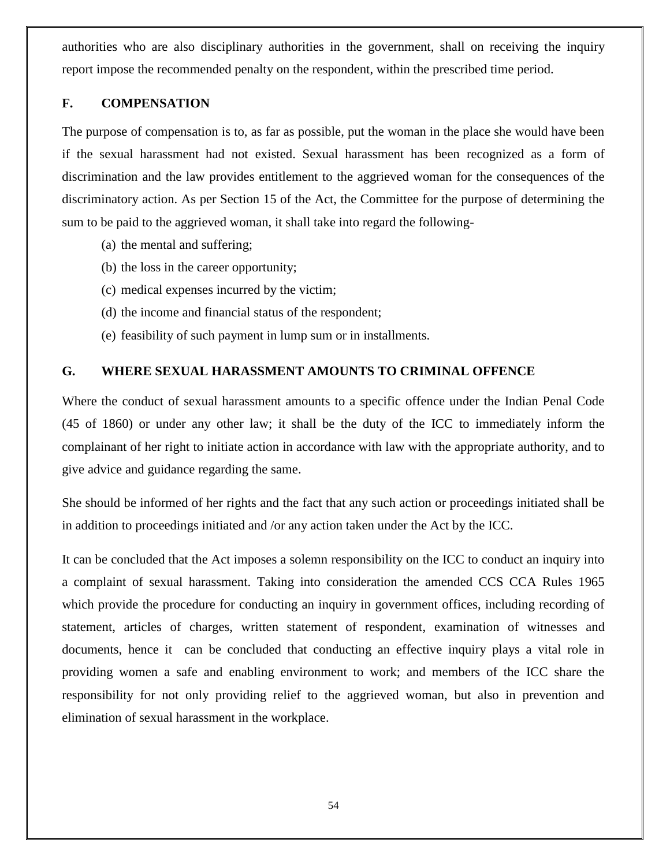authorities who are also disciplinary authorities in the government, shall on receiving the inquiry report impose the recommended penalty on the respondent, within the prescribed time period.

#### **F. COMPENSATION**

The purpose of compensation is to, as far as possible, put the woman in the place she would have been if the sexual harassment had not existed. Sexual harassment has been recognized as a form of discrimination and the law provides entitlement to the aggrieved woman for the consequences of the discriminatory action. As per Section 15 of the Act, the Committee for the purpose of determining the sum to be paid to the aggrieved woman, it shall take into regard the following-

- (a) the mental and suffering;
- (b) the loss in the career opportunity;
- (c) medical expenses incurred by the victim;
- (d) the income and financial status of the respondent;
- (e) feasibility of such payment in lump sum or in installments.

### **G. WHERE SEXUAL HARASSMENT AMOUNTS TO CRIMINAL OFFENCE**

Where the conduct of sexual harassment amounts to a specific offence under the Indian Penal Code (45 of 1860) or under any other law; it shall be the duty of the ICC to immediately inform the complainant of her right to initiate action in accordance with law with the appropriate authority, and to give advice and guidance regarding the same.

She should be informed of her rights and the fact that any such action or proceedings initiated shall be in addition to proceedings initiated and /or any action taken under the Act by the ICC.

It can be concluded that the Act imposes a solemn responsibility on the ICC to conduct an inquiry into a complaint of sexual harassment. Taking into consideration the amended CCS CCA Rules 1965 which provide the procedure for conducting an inquiry in government offices, including recording of statement, articles of charges, written statement of respondent, examination of witnesses and documents, hence it can be concluded that conducting an effective inquiry plays a vital role in providing women a safe and enabling environment to work; and members of the ICC share the responsibility for not only providing relief to the aggrieved woman, but also in prevention and elimination of sexual harassment in the workplace.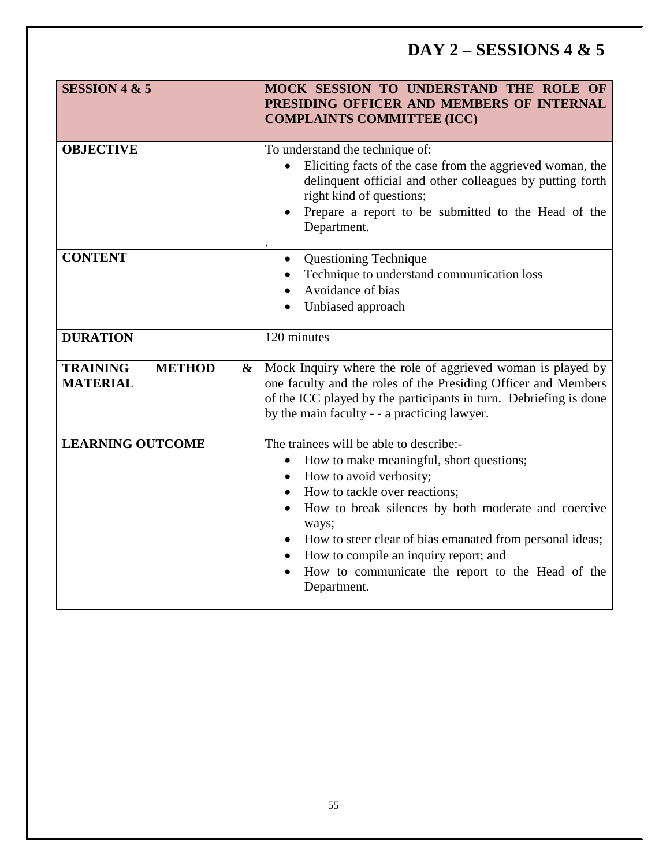# **DAY 2 – SESSIONS 4 & 5**

| <b>SESSION 4 &amp; 5</b>                                 | MOCK SESSION TO UNDERSTAND THE ROLE OF<br>PRESIDING OFFICER AND MEMBERS OF INTERNAL<br><b>COMPLAINTS COMMITTEE (ICC)</b>                                                                                                                                                                                                                                                                             |
|----------------------------------------------------------|------------------------------------------------------------------------------------------------------------------------------------------------------------------------------------------------------------------------------------------------------------------------------------------------------------------------------------------------------------------------------------------------------|
| <b>OBJECTIVE</b>                                         | To understand the technique of:<br>Eliciting facts of the case from the aggrieved woman, the<br>delinquent official and other colleagues by putting forth<br>right kind of questions;<br>Prepare a report to be submitted to the Head of the<br>Department.                                                                                                                                          |
| <b>CONTENT</b>                                           | <b>Questioning Technique</b><br>Technique to understand communication loss<br>Avoidance of bias<br>Unbiased approach                                                                                                                                                                                                                                                                                 |
| <b>DURATION</b>                                          | 120 minutes                                                                                                                                                                                                                                                                                                                                                                                          |
| <b>TRAINING</b><br><b>METHOD</b><br>&<br><b>MATERIAL</b> | Mock Inquiry where the role of aggrieved woman is played by<br>one faculty and the roles of the Presiding Officer and Members<br>of the ICC played by the participants in turn. Debriefing is done<br>by the main faculty - - a practicing lawyer.                                                                                                                                                   |
| <b>LEARNING OUTCOME</b>                                  | The trainees will be able to describe:-<br>How to make meaningful, short questions;<br>How to avoid verbosity;<br>$\bullet$<br>How to tackle over reactions;<br>How to break silences by both moderate and coercive<br>ways;<br>How to steer clear of bias emanated from personal ideas;<br>How to compile an inquiry report; and<br>How to communicate the report to the Head of the<br>Department. |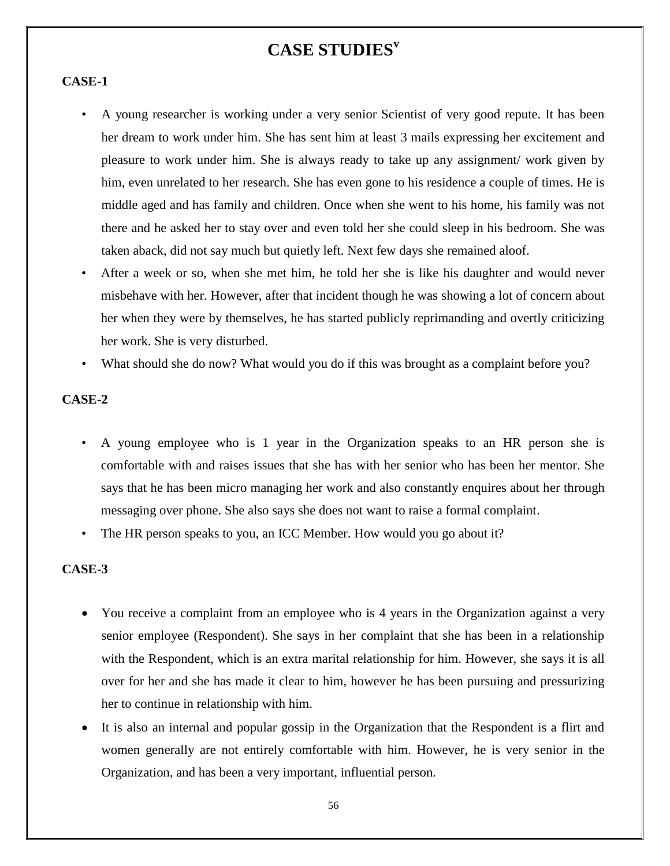# **CASE STUDIES<sup>v</sup>**

#### **CASE-1**

- A young researcher is working under a very senior Scientist of very good repute. It has been her dream to work under him. She has sent him at least 3 mails expressing her excitement and pleasure to work under him. She is always ready to take up any assignment/ work given by him, even unrelated to her research. She has even gone to his residence a couple of times. He is middle aged and has family and children. Once when she went to his home, his family was not there and he asked her to stay over and even told her she could sleep in his bedroom. She was taken aback, did not say much but quietly left. Next few days she remained aloof.
- After a week or so, when she met him, he told her she is like his daughter and would never misbehave with her. However, after that incident though he was showing a lot of concern about her when they were by themselves, he has started publicly reprimanding and overtly criticizing her work. She is very disturbed.
- What should she do now? What would you do if this was brought as a complaint before you?

### **CASE-2**

- A young employee who is 1 year in the Organization speaks to an HR person she is comfortable with and raises issues that she has with her senior who has been her mentor. She says that he has been micro managing her work and also constantly enquires about her through messaging over phone. She also says she does not want to raise a formal complaint.
- The HR person speaks to you, an ICC Member. How would you go about it?

#### **CASE-3**

- You receive a complaint from an employee who is 4 years in the Organization against a very senior employee (Respondent). She says in her complaint that she has been in a relationship with the Respondent, which is an extra marital relationship for him. However, she says it is all over for her and she has made it clear to him, however he has been pursuing and pressurizing her to continue in relationship with him.
- It is also an internal and popular gossip in the Organization that the Respondent is a flirt and women generally are not entirely comfortable with him. However, he is very senior in the Organization, and has been a very important, influential person.